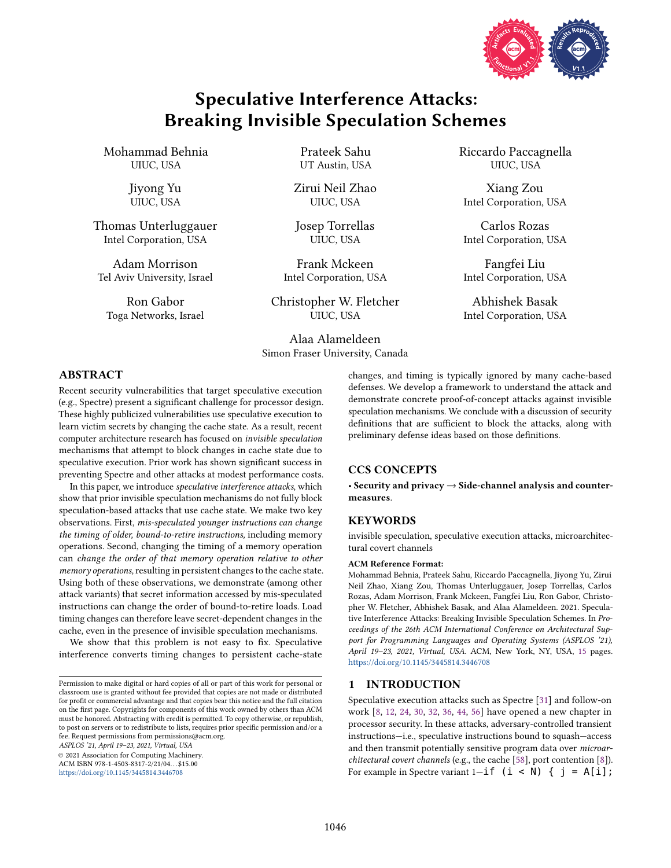

# Speculative Interference Attacks: Breaking Invisible Speculation Schemes

Mohammad Behnia UIUC, USA

> Jiyong Yu UIUC, USA

Thomas Unterluggauer Intel Corporation, USA

Adam Morrison Tel Aviv University, Israel

Ron Gabor Toga Networks, Israel Prateek Sahu UT Austin, USA

Zirui Neil Zhao UIUC, USA

Josep Torrellas UIUC, USA

Frank Mckeen Intel Corporation, USA

Christopher W. Fletcher UIUC, USA

Alaa Alameldeen Simon Fraser University, Canada Riccardo Paccagnella UIUC, USA

Xiang Zou Intel Corporation, USA

Carlos Rozas Intel Corporation, USA

Fangfei Liu Intel Corporation, USA

Abhishek Basak Intel Corporation, USA

# ABSTRACT

Recent security vulnerabilities that target speculative execution (e.g., Spectre) present a significant challenge for processor design. These highly publicized vulnerabilities use speculative execution to learn victim secrets by changing the cache state. As a result, recent computer architecture research has focused on invisible speculation mechanisms that attempt to block changes in cache state due to speculative execution. Prior work has shown significant success in preventing Spectre and other attacks at modest performance costs.

In this paper, we introduce speculative interference attacks, which show that prior invisible speculation mechanisms do not fully block speculation-based attacks that use cache state. We make two key observations. First, mis-speculated younger instructions can change the timing of older, bound-to-retire instructions, including memory operations. Second, changing the timing of a memory operation can change the order of that memory operation relative to other memory operations, resulting in persistent changes to the cache state. Using both of these observations, we demonstrate (among other attack variants) that secret information accessed by mis-speculated instructions can change the order of bound-to-retire loads. Load timing changes can therefore leave secret-dependent changes in the cache, even in the presence of invisible speculation mechanisms.

We show that this problem is not easy to fix. Speculative interference converts timing changes to persistent cache-state

ASPLOS '21, April 19-23, 2021, Virtual, USA

© 2021 Association for Computing Machinery.

ACM ISBN 978-1-4503-8317-2/21/04. . . \$15.00 <https://doi.org/10.1145/3445814.3446708>

changes, and timing is typically ignored by many cache-based defenses. We develop a framework to understand the attack and demonstrate concrete proof-of-concept attacks against invisible speculation mechanisms. We conclude with a discussion of security definitions that are sufficient to block the attacks, along with preliminary defense ideas based on those definitions.

# CCS CONCEPTS

· Security and privacy → Side-channel analysis and countermeasures.

### **KEYWORDS**

invisible speculation, speculative execution attacks, microarchitectural covert channels

#### ACM Reference Format:

Mohammad Behnia, Prateek Sahu, Riccardo Paccagnella, Jiyong Yu, Zirui Neil Zhao, Xiang Zou, Thomas Unterluggauer, Josep Torrellas, Carlos Rozas, Adam Morrison, Frank Mckeen, Fangfei Liu, Ron Gabor, Christopher W. Fletcher, Abhishek Basak, and Alaa Alameldeen. 2021. Speculative Interference Attacks: Breaking Invisible Speculation Schemes. In Proceedings of the 26th ACM International Conference on Architectural Support for Programming Languages and Operating Systems (ASPLOS '21), April 19-23, 2021, Virtual, USA. ACM, New York, NY, USA, [15](#page-14-0) pages. <https://doi.org/10.1145/3445814.3446708>

### <span id="page-0-0"></span>1 INTRODUCTION

Speculative execution attacks such as Spectre [\[31\]](#page-13-0) and follow-on work [\[8,](#page-12-0) [12,](#page-13-1) [24,](#page-13-2) [30,](#page-13-3) [32,](#page-13-4) [36,](#page-13-5) [44,](#page-13-6) [56\]](#page-13-7) have opened a new chapter in processor security. In these attacks, adversary-controlled transient instructions-i.e., speculative instructions bound to squash-access and then transmit potentially sensitive program data over microarchitectural covert channels (e.g., the cache [\[58\]](#page-14-1), port contention [\[8\]](#page-12-0)). For example in Spectre variant  $1-i$   $(i < N)$  {  $j = A[i]$ ;

Permission to make digital or hard copies of all or part of this work for personal or classroom use is granted without fee provided that copies are not made or distributed for profit or commercial advantage and that copies bear this notice and the full citation on the first page. Copyrights for components of this work owned by others than ACM must be honored. Abstracting with credit is permitted. To copy otherwise, or republish, to post on servers or to redistribute to lists, requires prior specific permission and/or a fee. Request permissions from permissions@acm.org.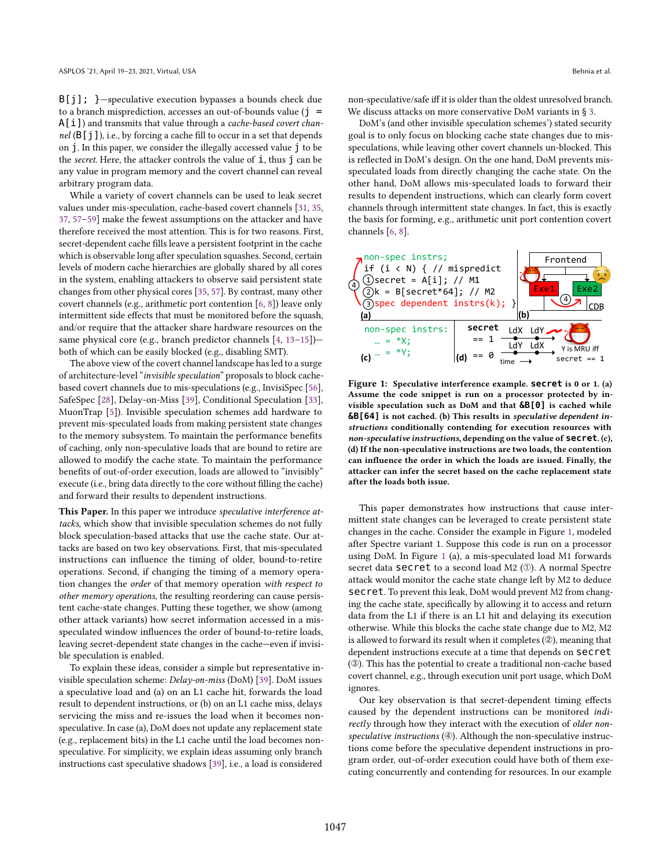$B[j]$ ; }-speculative execution bypasses a bounds check due to a branch misprediction, accesses an out-of-bounds value  $(j =$  $A[i]$ ) and transmits that value through a *cache-based covert chan*nel  $(B[j])$ , i.e., by forcing a cache fill to occur in a set that depends on j. In this paper, we consider the illegally accessed value j to be the *secret*. Here, the attacker controls the value of  $\dot{\mathbf{i}}$ , thus  $\dot{\mathbf{j}}$  can be any value in program memory and the covert channel can reveal arbitrary program data.

While a variety of covert channels can be used to leak secret values under mis-speculation, cache-based covert channels [\[31,](#page-13-0) [35,](#page-13-8) [37,](#page-13-9) 57-[59\]](#page-14-2) make the fewest assumptions on the attacker and have therefore received the most attention. This is for two reasons. First, secret-dependent cache fills leave a persistent footprint in the cache which is observable long after speculation squashes. Second, certain levels of modern cache hierarchies are globally shared by all cores in the system, enabling attackers to observe said persistent state changes from other physical cores [\[35,](#page-13-8) [57\]](#page-13-10). By contrast, many other covert channels (e.g., arithmetic port contention [\[6,](#page-12-1) [8\]](#page-12-0)) leave only intermittent side effects that must be monitored before the squash, and/or require that the attacker share hardware resources on the same physical core (e.g., branch predictor channels [\[4,](#page-12-2) 13-[15\]](#page-13-12)) $$ both of which can be easily blocked (e.g., disabling SMT).

The above view of the covert channel landscape has led to a surge of architecture-level "invisible speculation" proposals to block cachebased covert channels due to mis-speculations (e.g., InvisiSpec [\[56\]](#page-13-7), SafeSpec [\[28\]](#page-13-13), Delay-on-Miss [\[39\]](#page-13-14), Conditional Speculation [\[33\]](#page-13-15), MuonTrap [\[5\]](#page-12-3)). Invisible speculation schemes add hardware to prevent mis-speculated loads from making persistent state changes to the memory subsystem. To maintain the performance benefits of caching, only non-speculative loads that are bound to retire are allowed to modify the cache state. To maintain the performance benefits of out-of-order execution, loads are allowed to "invisibly" execute (i.e., bring data directly to the core without filling the cache) and forward their results to dependent instructions.

This Paper. In this paper we introduce speculative interference attacks, which show that invisible speculation schemes do not fully block speculation-based attacks that use the cache state. Our attacks are based on two key observations. First, that mis-speculated instructions can influence the timing of older, bound-to-retire operations. Second, if changing the timing of a memory operation changes the order of that memory operation with respect to other memory operations, the resulting reordering can cause persistent cache-state changes. Putting these together, we show (among other attack variants) how secret information accessed in a misspeculated window influences the order of bound-to-retire loads, leaving secret-dependent state changes in the cache-even if invisible speculation is enabled.

To explain these ideas, consider a simple but representative invisible speculation scheme: Delay-on-miss (DoM) [\[39\]](#page-13-14). DoM issues a speculative load and (a) on an L1 cache hit, forwards the load result to dependent instructions, or (b) on an L1 cache miss, delays servicing the miss and re-issues the load when it becomes nonspeculative. In case (a), DoM does not update any replacement state (e.g., replacement bits) in the L1 cache until the load becomes nonspeculative. For simplicity, we explain ideas assuming only branch instructions cast speculative shadows [\[39\]](#page-13-14), i.e., a load is considered

non-speculative/safe iff it is older than the oldest unresolved branch. We discuss attacks on more conservative DoM variants in ğ [3.](#page-3-0)

DoM's (and other invisible speculation schemes') stated security goal is to only focus on blocking cache state changes due to misspeculations, while leaving other covert channels un-blocked. This is reflected in DoM's design. On the one hand, DoM prevents misspeculated loads from directly changing the cache state. On the other hand, DoM allows mis-speculated loads to forward their results to dependent instructions, which can clearly form covert channels through intermittent state changes. In fact, this is exactly the basis for forming, e.g., arithmetic unit port contention covert channels [\[6,](#page-12-1) [8\]](#page-12-0).

<span id="page-1-0"></span>

Figure 1: Speculative interference example. **secret** is 0 or 1. (a) Assume the code snippet is run on a processor protected by invisible speculation such as DoM and that **&B[0]** is cached while **&B[64]** is not cached. (b) This results in speculative dependent instructions conditionally contending for execution resources with non-speculative instructions, depending on the value of **secret**. (c), (d) If the non-speculative instructions are two loads, the contention can influence the order in which the loads are issued. Finally, the attacker can infer the secret based on the cache replacement state after the loads both issue.

This paper demonstrates how instructions that cause intermittent state changes can be leveraged to create persistent state changes in the cache. Consider the example in Figure [1,](#page-1-0) modeled after Spectre variant 1. Suppose this code is run on a processor using DoM. In Figure [1](#page-1-0) (a), a mis-speculated load M1 forwards secret data **secret** to a second load M2 (①). A normal Spectre attack would monitor the cache state change left by M2 to deduce secret. To prevent this leak, DoM would prevent M2 from changing the cache state, specifically by allowing it to access and return data from the L1 if there is an L1 hit and delaying its execution otherwise. While this blocks the cache state change due to M2, M2 is allowed to forward its result when it completes (2), meaning that dependent instructions execute at a time that depends on secret (➂). This has the potential to create a traditional non-cache based covert channel, e.g., through execution unit port usage, which DoM ignores.

Our key observation is that secret-dependent timing effects caused by the dependent instructions can be monitored indirectly through how they interact with the execution of older nonspeculative instructions (4). Although the non-speculative instructions come before the speculative dependent instructions in program order, out-of-order execution could have both of them executing concurrently and contending for resources. In our example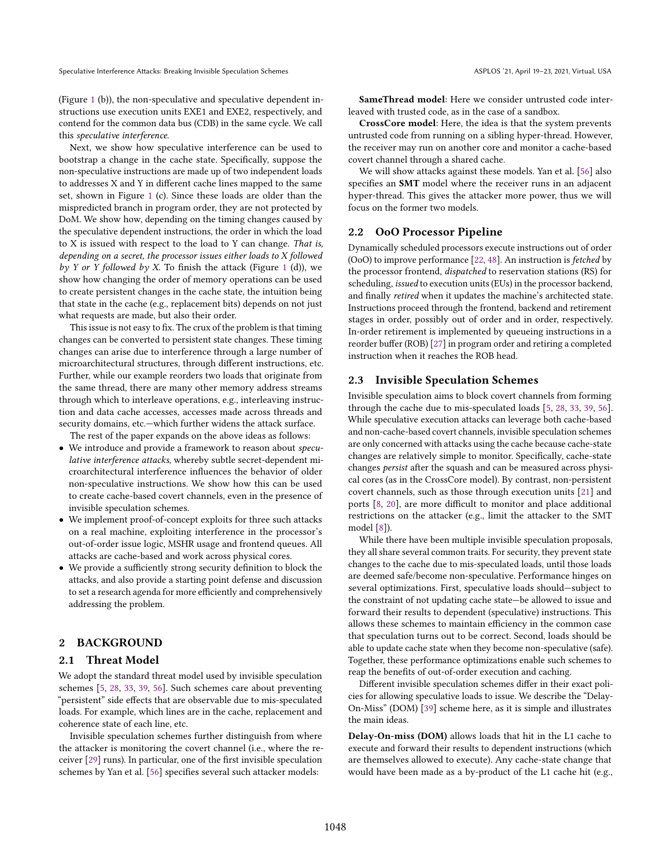(Figure [1](#page-1-0) (b)), the non-speculative and speculative dependent instructions use execution units EXE1 and EXE2, respectively, and contend for the common data bus (CDB) in the same cycle. We call this speculative interference.

Next, we show how speculative interference can be used to bootstrap a change in the cache state. Specifically, suppose the non-speculative instructions are made up of two independent loads to addresses X and Y in different cache lines mapped to the same set, shown in Figure [1](#page-1-0) (c). Since these loads are older than the mispredicted branch in program order, they are not protected by DoM. We show how, depending on the timing changes caused by the speculative dependent instructions, the order in which the load to X is issued with respect to the load to Y can change. That is, depending on a secret, the processor issues either loads to X followed by Y or Y followed by X. To finish the attack (Figure [1](#page-1-0) (d)), we show how changing the order of memory operations can be used to create persistent changes in the cache state, the intuition being that state in the cache (e.g., replacement bits) depends on not just what requests are made, but also their order.

This issue is not easy to fix. The crux of the problem is that timing changes can be converted to persistent state changes. These timing changes can arise due to interference through a large number of microarchitectural structures, through different instructions, etc. Further, while our example reorders two loads that originate from the same thread, there are many other memory address streams through which to interleave operations, e.g., interleaving instruction and data cache accesses, accesses made across threads and security domains, etc.—which further widens the attack surface. The rest of the paper expands on the above ideas as follows:

• We introduce and provide a framework to reason about speculative interference attacks, whereby subtle secret-dependent microarchitectural interference influences the behavior of older non-speculative instructions. We show how this can be used to create cache-based covert channels, even in the presence of invisible speculation schemes.

- We implement proof-of-concept exploits for three such attacks on a real machine, exploiting interference in the processor's out-of-order issue logic, MSHR usage and frontend queues. All attacks are cache-based and work across physical cores.
- We provide a sufficiently strong security definition to block the attacks, and also provide a starting point defense and discussion to set a research agenda for more efficiently and comprehensively addressing the problem.

# <span id="page-2-2"></span>2 BACKGROUND

## <span id="page-2-1"></span>2.1 Threat Model

We adopt the standard threat model used by invisible speculation schemes [\[5,](#page-12-3) [28,](#page-13-13) [33,](#page-13-15) [39,](#page-13-14) [56\]](#page-13-7). Such schemes care about preventing "persistent" side effects that are observable due to mis-speculated loads. For example, which lines are in the cache, replacement and coherence state of each line, etc.

Invisible speculation schemes further distinguish from where the attacker is monitoring the covert channel (i.e., where the receiver [\[29\]](#page-13-16) runs). In particular, one of the first invisible speculation schemes by Yan et al. [\[56\]](#page-13-7) specifies several such attacker models:

SameThread model: Here we consider untrusted code interleaved with trusted code, as in the case of a sandbox.

CrossCore model: Here, the idea is that the system prevents untrusted code from running on a sibling hyper-thread. However, the receiver may run on another core and monitor a cache-based covert channel through a shared cache.

We will show attacks against these models. Yan et al. [\[56\]](#page-13-7) also specifies an SMT model where the receiver runs in an adjacent hyper-thread. This gives the attacker more power, thus we will focus on the former two models.

### 2.2 OoO Processor Pipeline

Dynamically scheduled processors execute instructions out of order (OoO) to improve performance [\[22,](#page-13-17) [48\]](#page-13-18). An instruction is fetched by the processor frontend, dispatched to reservation stations (RS) for scheduling, issued to execution units (EUs) in the processor backend, and finally retired when it updates the machine's architected state. Instructions proceed through the frontend, backend and retirement stages in order, possibly out of order and in order, respectively. In-order retirement is implemented by queueing instructions in a reorder buffer (ROB) [\[27\]](#page-13-19) in program order and retiring a completed instruction when it reaches the ROB head.

# <span id="page-2-0"></span>2.3 Invisible Speculation Schemes

Invisible speculation aims to block covert channels from forming through the cache due to mis-speculated loads [\[5,](#page-12-3) [28,](#page-13-13) [33,](#page-13-15) [39,](#page-13-14) [56\]](#page-13-7). While speculative execution attacks can leverage both cache-based and non-cache-based covert channels, invisible speculation schemes are only concerned with attacks using the cache because cache-state changes are relatively simple to monitor. Specifically, cache-state changes persist after the squash and can be measured across physical cores (as in the CrossCore model). By contrast, non-persistent covert channels, such as those through execution units [\[21\]](#page-13-20) and ports [\[8,](#page-12-0) [20\]](#page-13-21), are more difficult to monitor and place additional restrictions on the attacker (e.g., limit the attacker to the SMT model [\[8\]](#page-12-0)).

While there have been multiple invisible speculation proposals, they all share several common traits. For security, they prevent state changes to the cache due to mis-speculated loads, until those loads are deemed safe/become non-speculative. Performance hinges on several optimizations. First, speculative loads should-subject to the constraint of not updating cache state-be allowed to issue and forward their results to dependent (speculative) instructions. This allows these schemes to maintain efficiency in the common case that speculation turns out to be correct. Second, loads should be able to update cache state when they become non-speculative (safe). Together, these performance optimizations enable such schemes to reap the benefits of out-of-order execution and caching.

Different invisible speculation schemes differ in their exact policies for allowing speculative loads to issue. We describe the "Delay-On-Missž (DOM) [\[39\]](#page-13-14) scheme here, as it is simple and illustrates the main ideas.

Delay-On-miss (DOM) allows loads that hit in the L1 cache to execute and forward their results to dependent instructions (which are themselves allowed to execute). Any cache-state change that would have been made as a by-product of the L1 cache hit (e.g.,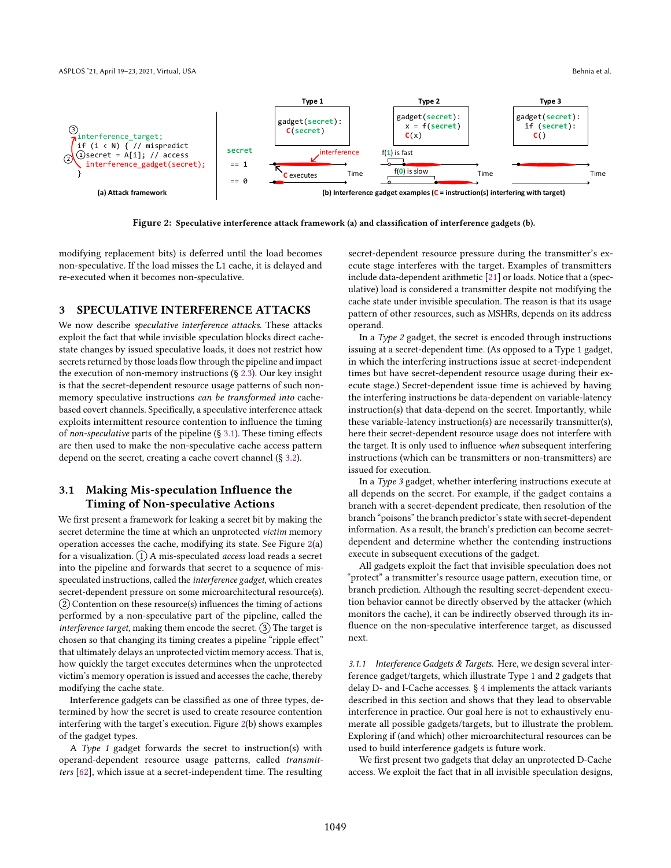<span id="page-3-2"></span>

Figure 2: Speculative interference attack framework (a) and classification of interference gadgets (b).

modifying replacement bits) is deferred until the load becomes non-speculative. If the load misses the L1 cache, it is delayed and re-executed when it becomes non-speculative.

### <span id="page-3-0"></span>3 SPECULATIVE INTERFERENCE ATTACKS

We now describe speculative interference attacks. These attacks exploit the fact that while invisible speculation blocks direct cachestate changes by issued speculative loads, it does not restrict how secrets returned by those loads flow through the pipeline and impact the execution of non-memory instructions  $(§ 2.3)$  $(§ 2.3)$ . Our key insight is that the secret-dependent resource usage patterns of such nonmemory speculative instructions can be transformed into cachebased covert channels. Specifically, a speculative interference attack exploits intermittent resource contention to influence the timing of non-speculative parts of the pipeline  $(\S 3.1)$  $(\S 3.1)$ . These timing effects are then used to make the non-speculative cache access pattern depend on the secret, creating a cache covert channel (ğ [3.2\)](#page-5-0).

# <span id="page-3-1"></span>3.1 Making Mis-speculation Influence the Timing of Non-speculative Actions

We first present a framework for leaking a secret bit by making the secret determine the time at which an unprotected victim memory operation accesses the cache, modifying its state. See Figure [2\(](#page-3-2)a) for a visualization.  $(1)$  A mis-speculated *access* load reads a secret into the pipeline and forwards that secret to a sequence of misspeculated instructions, called the interference gadget, which creates secret-dependent pressure on some microarchitectural resource(s).  $(2)$  Contention on these resource(s) influences the timing of actions performed by a non-speculative part of the pipeline, called the *interference target*, making them encode the secret.  $(3)$  The target is chosen so that changing its timing creates a pipeline "ripple effect" that ultimately delays an unprotected victim memory access. That is, how quickly the target executes determines when the unprotected victim's memory operation is issued and accesses the cache, thereby modifying the cache state.

Interference gadgets can be classified as one of three types, determined by how the secret is used to create resource contention interfering with the target's execution. Figure [2\(](#page-3-2)b) shows examples of the gadget types.

A Type 1 gadget forwards the secret to instruction(s) with operand-dependent resource usage patterns, called transmitters [\[62\]](#page-14-3), which issue at a secret-independent time. The resulting

secret-dependent resource pressure during the transmitter's execute stage interferes with the target. Examples of transmitters include data-dependent arithmetic [\[21\]](#page-13-20) or loads. Notice that a (speculative) load is considered a transmitter despite not modifying the cache state under invisible speculation. The reason is that its usage pattern of other resources, such as MSHRs, depends on its address operand.

In a Type 2 gadget, the secret is encoded through instructions issuing at a secret-dependent time. (As opposed to a Type 1 gadget, in which the interfering instructions issue at secret-independent times but have secret-dependent resource usage during their execute stage.) Secret-dependent issue time is achieved by having the interfering instructions be data-dependent on variable-latency instruction(s) that data-depend on the secret. Importantly, while these variable-latency instruction(s) are necessarily transmitter(s), here their secret-dependent resource usage does not interfere with the target. It is only used to influence when subsequent interfering instructions (which can be transmitters or non-transmitters) are issued for execution.

In a Type 3 gadget, whether interfering instructions execute at all depends on the secret. For example, if the gadget contains a branch with a secret-dependent predicate, then resolution of the branch "poisons" the branch predictor's state with secret-dependent information. As a result, the branch's prediction can become secretdependent and determine whether the contending instructions execute in subsequent executions of the gadget.

All gadgets exploit the fact that invisible speculation does not "protect" a transmitter's resource usage pattern, execution time, or branch prediction. Although the resulting secret-dependent execution behavior cannot be directly observed by the attacker (which monitors the cache), it can be indirectly observed through its influence on the non-speculative interference target, as discussed next.

<span id="page-3-3"></span>3.1.1 Interference Gadgets & Targets. Here, we design several interference gadget/targets, which illustrate Type 1 and 2 gadgets that delay D- and I-Cache accesses. ğ [4](#page-7-0) implements the attack variants described in this section and shows that they lead to observable interference in practice. Our goal here is not to exhaustively enumerate all possible gadgets/targets, but to illustrate the problem. Exploring if (and which) other microarchitectural resources can be used to build interference gadgets is future work.

We first present two gadgets that delay an unprotected D-Cache access. We exploit the fact that in all invisible speculation designs,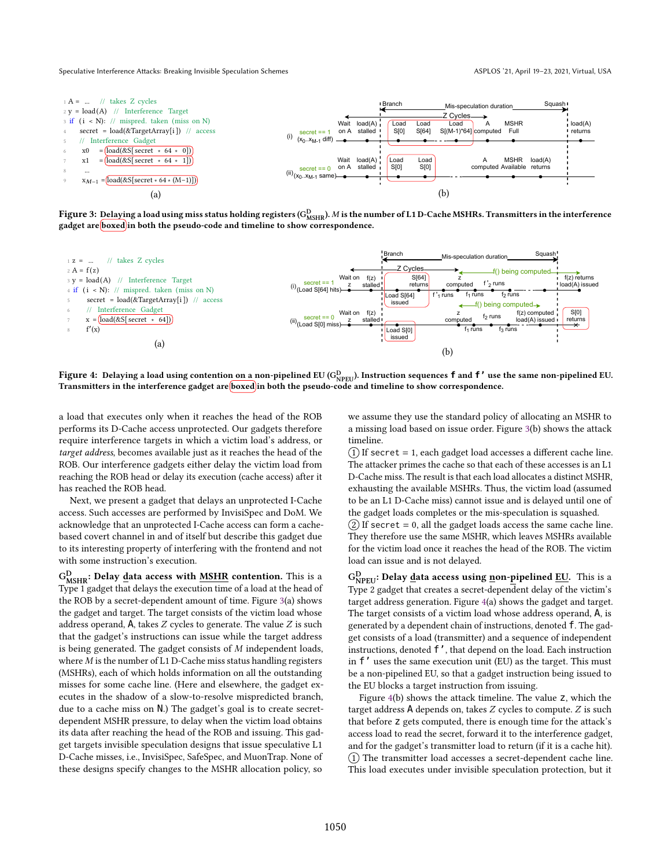<span id="page-4-0"></span>

Figure 3: Delaying a load using miss status holding registers (G $_{\rm MSHR}^{\rm D}$ ). M is the number of L1 D-Cache MSHRs. Transmitters in the interference gadget are boxed in both the pseudo-code and timeline to show correspondence.

<span id="page-4-1"></span>

Figure 4: Delaying a load using contention <u>on a</u> non-pipelined EU (G $_{\rm NPEU}^{\rm D}$ ). Instruction sequences <code>f</code> and <code>f'</code> use the same non-pipelined EU. Transmitters in the interference gadget are *boxed* in both the pseudo-code and timeline to show correspondence.

a load that executes only when it reaches the head of the ROB performs its D-Cache access unprotected. Our gadgets therefore require interference targets in which a victim load's address, or target address, becomes available just as it reaches the head of the ROB. Our interference gadgets either delay the victim load from reaching the ROB head or delay its execution (cache access) after it has reached the ROB head.

Next, we present a gadget that delays an unprotected I-Cache access. Such accesses are performed by InvisiSpec and DoM. We acknowledge that an unprotected I-Cache access can form a cachebased covert channel in and of itself but describe this gadget due to its interesting property of interfering with the frontend and not with some instruction's execution.

 $\rm{G^{D}_{MSHR}\colon$  Delay <u>d</u>ata access with <u>MSHR</u> contention. This is a Type 1 gadget that delays the execution time of a load at the head of the ROB by a secret-dependent amount of time. Figure [3\(](#page-4-0)a) shows the gadget and target. The target consists of the victim load whose address operand, A, takes  $Z$  cycles to generate. The value  $Z$  is such that the gadget's instructions can issue while the target address is being generated. The gadget consists of  $M$  independent loads, where  $M$  is the number of L1 D-Cache miss status handling registers (MSHRs), each of which holds information on all the outstanding misses for some cache line. (Here and elsewhere, the gadget executes in the shadow of a slow-to-resolve mispredicted branch, due to a cache miss on N.) The gadget's goal is to create secretdependent MSHR pressure, to delay when the victim load obtains its data after reaching the head of the ROB and issuing. This gadget targets invisible speculation designs that issue speculative L1 D-Cache misses, i.e., InvisiSpec, SafeSpec, and MuonTrap. None of these designs specify changes to the MSHR allocation policy, so

we assume they use the standard policy of allocating an MSHR to a missing load based on issue order. Figure [3\(](#page-4-0)b) shows the attack timeline.

 $(1)$  If secret = 1, each gadget load accesses a different cache line. The attacker primes the cache so that each of these accesses is an L1 D-Cache miss. The result is that each load allocates a distinct MSHR, exhausting the available MSHRs. Thus, the victim load (assumed to be an L1 D-Cache miss) cannot issue and is delayed until one of the gadget loads completes or the mis-speculation is squashed.

 $(2)$  If secret = 0, all the gadget loads access the same cache line. They therefore use the same MSHR, which leaves MSHRs available for the victim load once it reaches the head of the ROB. The victim load can issue and is not delayed.

 $\rm{G}_{\rm{NPEU}}^{\rm{D}}$ : Delay <u>d</u>ata access using <u>n</u>on-pipelined <u>EU</u>. This is a Type 2 gadget that creates a secret-dependent delay of the victim's target address generation. Figure [4\(](#page-4-1)a) shows the gadget and target. The target consists of a victim load whose address operand, A, is generated by a dependent chain of instructions, denoted f. The gadget consists of a load (transmitter) and a sequence of independent instructions, denoted f', that depend on the load. Each instruction in f' uses the same execution unit (EU) as the target. This must be a non-pipelined EU, so that a gadget instruction being issued to the EU blocks a target instruction from issuing.

Figure [4\(](#page-4-1)b) shows the attack timeline. The value z, which the target address  $A$  depends on, takes  $Z$  cycles to compute.  $Z$  is such that before z gets computed, there is enough time for the attack's access load to read the secret, forward it to the interference gadget, and for the gadget's transmitter load to return (if it is a cache hit).  $(1)$  The transmitter load accesses a secret-dependent cache line. This load executes under invisible speculation protection, but it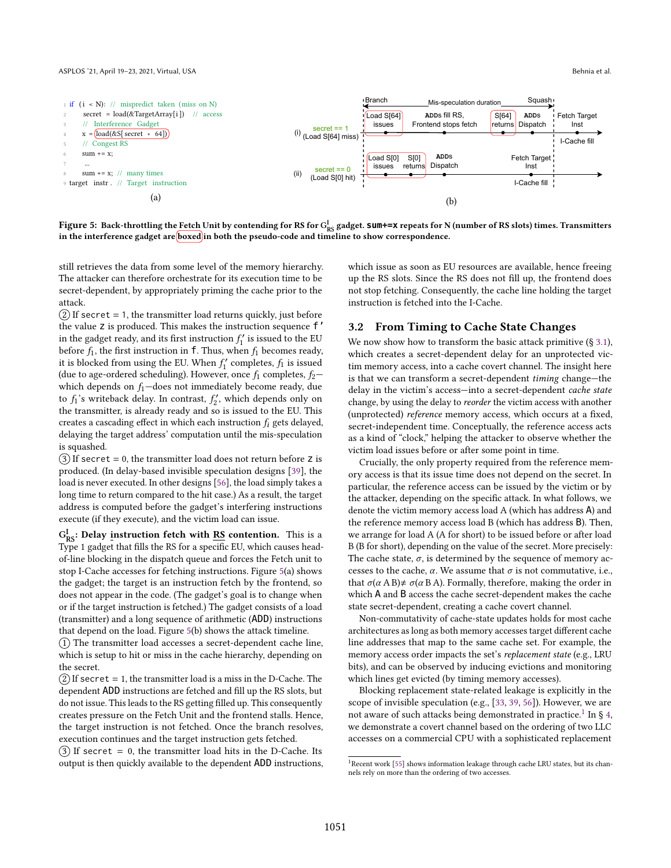<span id="page-5-5"></span><span id="page-5-4"></span><span id="page-5-1"></span>

<span id="page-5-3"></span>Figure 5: Back-throttling the <u>Fetch</u> Unit by contending for RS for G<sub>RS</sub> gadget. Sum+=x repeats for N (number of RS slots) times. Transmitters in the interference gadget are *boxed* in both the pseudo-code and timeline to show correspondence.

still retrieves the data from some level of the memory hierarchy. The attacker can therefore orchestrate for its execution time to be secret-dependent, by appropriately priming the cache prior to the attack.

 $(2)$  If secret = 1, the transmitter load returns quickly, just before the value z is produced. This makes the instruction sequence f' in the gadget ready, and its first instruction  $f_1'$  is issued to the EU before  $f_1$ , the first instruction in f. Thus, when  $f_1$  becomes ready, it is blocked from using the EU. When  $f'_1$  completes,  $f_1$  is issued (due to age-ordered scheduling). However, once  $f_1$  completes,  $f_2$ which depends on  $f_1$ —does not immediately become ready, due to  $f_1$ 's writeback delay. In contrast,  $f_2'$ , which depends only on the transmitter, is already ready and so is issued to the EU. This creates a cascading effect in which each instruction  $f_i$  gets delayed, delaying the target address' computation until the mis-speculation is squashed.

 $(3)$  If secret = 0, the transmitter load does not return before z is produced. (In delay-based invisible speculation designs [\[39\]](#page-13-14), the load is never executed. In other designs [\[56\]](#page-13-7), the load simply takes a long time to return compared to the hit case.) As a result, the target address is computed before the gadget's interfering instructions execute (if they execute), and the victim load can issue.

 $G_{RS}^I$ : Delay <u>i</u>nstruction fetch with **RS** contention. This is a Type 1 gadget that fills the RS for a specific EU, which causes headof-line blocking in the dispatch queue and forces the Fetch unit to stop I-Cache accesses for fetching instructions. Figure [5\(](#page-5-1)a) shows the gadget; the target is an instruction fetch by the frontend, so does not appear in the code. (The gadget's goal is to change when or if the target instruction is fetched.) The gadget consists of a load (transmitter) and a long sequence of arithmetic (ADD) instructions that depend on the load. Figure [5\(](#page-5-1)b) shows the attack timeline.

 $(1)$  The transmitter load accesses a secret-dependent cache line, which is setup to hit or miss in the cache hierarchy, depending on the secret.

 $(2)$  If secret = 1, the transmitter load is a miss in the D-Cache. The dependent ADD instructions are fetched and fill up the RS slots, but do not issue. This leads to the RS getting filled up. This consequently creates pressure on the Fetch Unit and the frontend stalls. Hence, the target instruction is not fetched. Once the branch resolves, execution continues and the target instruction gets fetched.

 $(3)$  If secret = 0, the transmitter load hits in the D-Cache. Its output is then quickly available to the dependent ADD instructions, which issue as soon as EU resources are available, hence freeing up the RS slots. Since the RS does not fill up, the frontend does not stop fetching. Consequently, the cache line holding the target instruction is fetched into the I-Cache.

# <span id="page-5-0"></span>3.2 From Timing to Cache State Changes

We now show how to transform the basic attack primitive  $(§ 3.1)$  $(§ 3.1)$ , which creates a secret-dependent delay for an unprotected victim memory access, into a cache covert channel. The insight here is that we can transform a secret-dependent timing change-the delay in the victim's access-into a secret-dependent cache state change, by using the delay to reorder the victim access with another (unprotected) reference memory access, which occurs at a fixed, secret-independent time. Conceptually, the reference access acts as a kind of "clock," helping the attacker to observe whether the victim load issues before or after some point in time.

Crucially, the only property required from the reference memory access is that its issue time does not depend on the secret. In particular, the reference access can be issued by the victim or by the attacker, depending on the specific attack. In what follows, we denote the victim memory access load A (which has address A) and the reference memory access load B (which has address B). Then, we arrange for load A (A for short) to be issued before or after load B (B for short), depending on the value of the secret. More precisely: The cache state,  $\sigma$ , is determined by the sequence of memory accesses to the cache,  $\alpha$ . We assume that  $\sigma$  is not commutative, i.e., that  $\sigma(\alpha A B) \neq \sigma(\alpha B A)$ . Formally, therefore, making the order in which A and B access the cache secret-dependent makes the cache state secret-dependent, creating a cache covert channel.

Non-commutativity of cache-state updates holds for most cache architectures as long as both memory accesses target different cache line addresses that map to the same cache set. For example, the memory access order impacts the set's replacement state (e.g., LRU bits), and can be observed by inducing evictions and monitoring which lines get evicted (by timing memory accesses).

Blocking replacement state-related leakage is explicitly in the scope of invisible speculation (e.g., [\[33,](#page-13-15) [39,](#page-13-14) [56\]](#page-13-7)). However, we are not aware of such attacks being demonstrated in practice. $^1$  $^1$  In § [4,](#page-7-0) we demonstrate a covert channel based on the ordering of two LLC accesses on a commercial CPU with a sophisticated replacement

<span id="page-5-2"></span><sup>&</sup>lt;sup>1</sup>Recent work [\[55\]](#page-13-22) shows information leakage through cache LRU states, but its channels rely on more than the ordering of two accesses.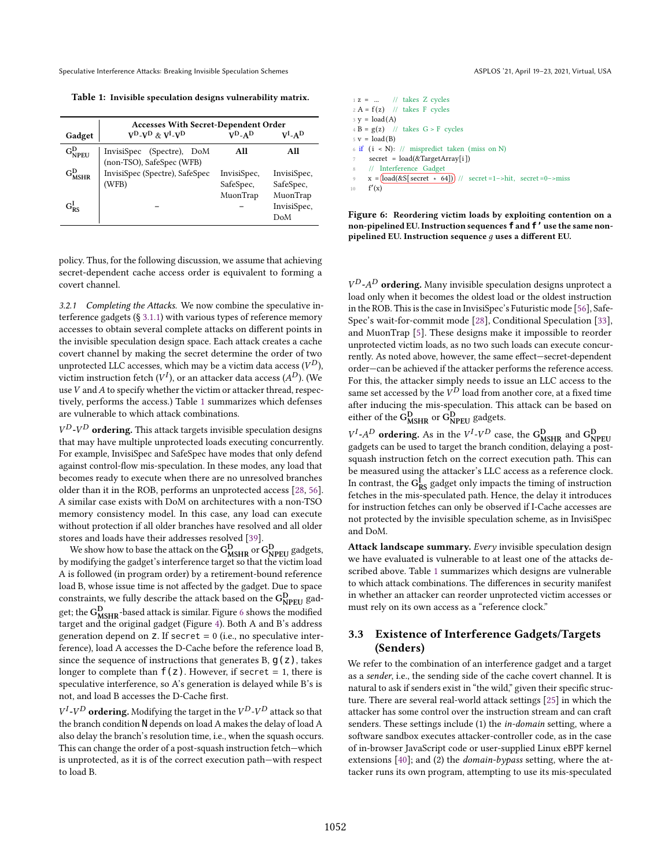<span id="page-6-0"></span>Table 1: Invisible speculation designs vulnerability matrix.

|                   | <b>Accesses With Secret-Dependent Order</b>            |                                      |                                      |  |  |  |  |  |  |
|-------------------|--------------------------------------------------------|--------------------------------------|--------------------------------------|--|--|--|--|--|--|
| Gadget            | $V^{D}$ - $V^{D}$ & $V^{I}$ - $V^{D}$                  | $V^{D}$ -AD                          | $V^I$ -A $D$                         |  |  |  |  |  |  |
| $G_{NPEU}^D$      | InvisiSpec (Spectre), DoM<br>(non-TSO), SafeSpec (WFB) | All                                  | All                                  |  |  |  |  |  |  |
| $\rm{G}_{MSHP}^D$ | InvisiSpec (Spectre), SafeSpec<br>(WFB)                | InvisiSpec,<br>SafeSpec,<br>MuonTrap | InvisiSpec,<br>SafeSpec,<br>MuonTrap |  |  |  |  |  |  |
| $G_{RS}^I$        |                                                        |                                      | InvisiSpec,<br>DoM                   |  |  |  |  |  |  |

policy. Thus, for the following discussion, we assume that achieving secret-dependent cache access order is equivalent to forming a covert channel.

<span id="page-6-2"></span>3.2.1 Completing the Attacks. We now combine the speculative interference gadgets (ğ [3.1.1\)](#page-3-3) with various types of reference memory accesses to obtain several complete attacks on different points in the invisible speculation design space. Each attack creates a cache covert channel by making the secret determine the order of two unprotected LLC accesses, which may be a victim data access ( $V^D$ ), victim instruction fetch ( $V^I$ ), or an attacker data access ( $A^D$ ). (We use  $V$  and  $A$  to specify whether the victim or attacker thread, respectively, performs the access.) Table [1](#page-6-0) summarizes which defenses are vulnerable to which attack combinations.

 $V^{D}$ - $V^{D}$  ordering. This attack targets invisible speculation designs that may have multiple unprotected loads executing concurrently. For example, InvisiSpec and SafeSpec have modes that only defend against control-flow mis-speculation. In these modes, any load that becomes ready to execute when there are no unresolved branches older than it in the ROB, performs an unprotected access [\[28,](#page-13-13) [56\]](#page-13-7). A similar case exists with DoM on architectures with a non-TSO memory consistency model. In this case, any load can execute without protection if all older branches have resolved and all older stores and loads have their addresses resolved [\[39\]](#page-13-14).

We show how to base the attack on the  $G_{\text{MSHR}}^{\text{D}}$  or  $G_{\text{NPEU}}^{\text{D}}$  gadgets, by modifying the gadget's interference target so that the victim load A is followed (in program order) by a retirement-bound reference load B, whose issue time is not affected by the gadget. Due to space constraints, we fully describe the attack based on the  $G_{\text{NPEU}}^{\text{D}}$  gadget; the  $G_{\text{MSHR}}^{\text{D}}$ -based attack is similar. Figure [6](#page-6-1) shows the modified target and the original gadget (Figure [4\)](#page-4-1). Both A and B's address generation depend on  $Z$ . If secret = 0 (i.e., no speculative interference), load A accesses the D-Cache before the reference load B, since the sequence of instructions that generates B,  $q(z)$ , takes longer to complete than  $f(z)$ . However, if secret = 1, there is speculative interference, so A's generation is delayed while B's is not, and load B accesses the D-Cache first.

 $V^I$ - $V^D$  ordering. Modifying the target in the  $V^D$ - $V^D$  attack so that the branch condition N depends on load A makes the delay of load A also delay the branch's resolution time, i.e., when the squash occurs. This can change the order of a post-squash instruction fetch-which is unprotected, as it is of the correct execution path-with respect to load B.

<span id="page-6-1"></span>

| $1 \, \text{z} = $ // takes Z cycles                                                      |  |  |  |  |  |
|-------------------------------------------------------------------------------------------|--|--|--|--|--|
| $2 A = f(z)$ // takes F cycles                                                            |  |  |  |  |  |
| $3 y = load(A)$                                                                           |  |  |  |  |  |
| $4 B = g(z)$ // takes $G > F$ cycles                                                      |  |  |  |  |  |
| $5 \text{ v} = \text{load}(B)$                                                            |  |  |  |  |  |
| 6 if $(i \le N)$ : // mispredict taken (miss on N)                                        |  |  |  |  |  |
| $\tau$ secret = load(&TargetArray[i])                                                     |  |  |  |  |  |
| 8 // Interference Gadget                                                                  |  |  |  |  |  |
| $\frac{1}{2}$ x = (load(&S[ secret $\star$ 64])) // secret = 1 -> hit, secret = 0 -> miss |  |  |  |  |  |
| f'(x)<br>10                                                                               |  |  |  |  |  |

Figure 6: Reordering victim loads by exploiting contention on a non-pipelined EU. Instruction sequences **f** and **f'** use the same nonpipelined EU. Instruction sequence  $q$  uses a different EU.

 $V^{D}$ - $A^{D}$  ordering. Many invisible speculation designs unprotect a load only when it becomes the oldest load or the oldest instruction in the ROB. This is the case in InvisiSpec's Futuristic mode [\[56\]](#page-13-7), Safe-Spec's wait-for-commit mode [\[28\]](#page-13-13), Conditional Speculation [\[33\]](#page-13-15), and MuonTrap [\[5\]](#page-12-3). These designs make it impossible to reorder unprotected victim loads, as no two such loads can execute concurrently. As noted above, however, the same effect-secret-dependent order-can be achieved if the attacker performs the reference access. For this, the attacker simply needs to issue an LLC access to the same set accessed by the  $V^D$  load from another core, at a fixed time after inducing the mis-speculation. This attack can be based on either of the  $\overline{G}_{MSHR}^{D}$  or  $\overline{G}_{NPEU}^{D}$  gadgets.

 $V^I$ -A<sup>D</sup> ordering. As in the  $V^I$ -V<sup>D</sup> case, the G<sub>MSHR</sub> and G<sub>NPEU</sub> gadgets can be used to target the branch condition, delaying a postsquash instruction fetch on the correct execution path. This can be measured using the attacker's LLC access as a reference clock. In contrast, the  $G_{RS}^{\vec{l}}$  gadget only impacts the timing of instruction fetches in the mis-speculated path. Hence, the delay it introduces for instruction fetches can only be observed if I-Cache accesses are not protected by the invisible speculation scheme, as in InvisiSpec and DoM.

Attack landscape summary. Every invisible speculation design we have evaluated is vulnerable to at least one of the attacks described above. Table [1](#page-6-0) summarizes which designs are vulnerable to which attack combinations. The differences in security manifest in whether an attacker can reorder unprotected victim accesses or must rely on its own access as a "reference clock."

# 3.3 Existence of Interference Gadgets/Targets (Senders)

We refer to the combination of an interference gadget and a target as a sender, i.e., the sending side of the cache covert channel. It is natural to ask if senders exist in "the wild," given their specific structure. There are several real-world attack settings [\[25\]](#page-13-23) in which the attacker has some control over the instruction stream and can craft senders. These settings include (1) the in-domain setting, where a software sandbox executes attacker-controller code, as in the case of in-browser JavaScript code or user-supplied Linux eBPF kernel extensions [\[40\]](#page-13-24); and (2) the *domain-bypass* setting, where the attacker runs its own program, attempting to use its mis-speculated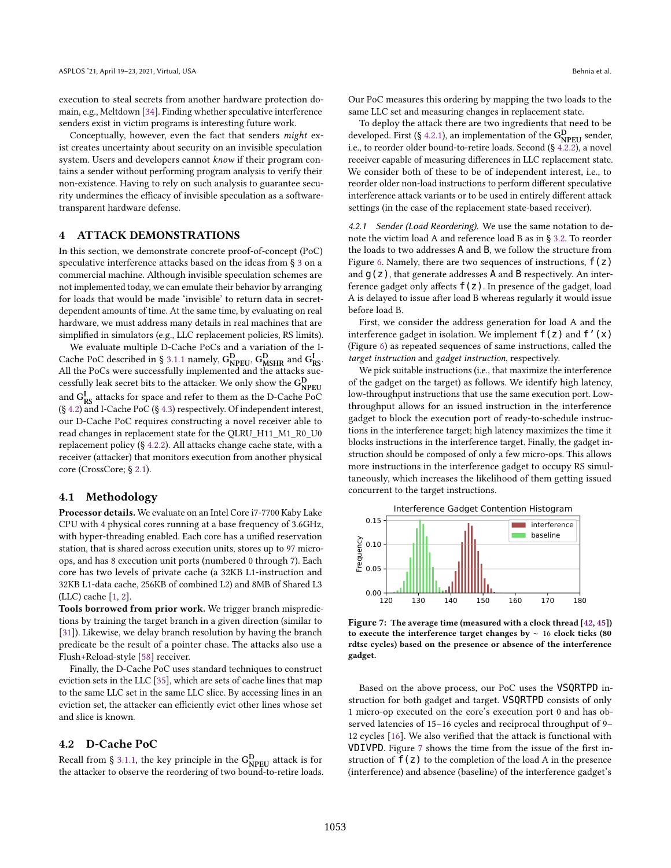execution to steal secrets from another hardware protection domain, e.g., Meltdown [\[34\]](#page-13-25). Finding whether speculative interference senders exist in victim programs is interesting future work.

Conceptually, however, even the fact that senders might exist creates uncertainty about security on an invisible speculation system. Users and developers cannot know if their program contains a sender without performing program analysis to verify their non-existence. Having to rely on such analysis to guarantee security undermines the efficacy of invisible speculation as a softwaretransparent hardware defense.

### <span id="page-7-0"></span>4 ATTACK DEMONSTRATIONS

In this section, we demonstrate concrete proof-of-concept (PoC) speculative interference attacks based on the ideas from ğ [3](#page-3-0) on a commercial machine. Although invisible speculation schemes are not implemented today, we can emulate their behavior by arranging for loads that would be made 'invisible' to return data in secretdependent amounts of time. At the same time, by evaluating on real hardware, we must address many details in real machines that are simplified in simulators (e.g., LLC replacement policies, RS limits).

We evaluate multiple D-Cache PoCs and a variation of the I-Cache PoC described in § [3.1.1](#page-3-3) namely,  $G_{\text{NPEU}}^{\text{D}}$ ,  $G_{\text{MSHR}}^{\text{D}}$  and  $G_{\text{RS}}^{\text{I}}$ . All the PoCs were successfully implemented and the attacks successfully leak secret bits to the attacker. We only show the  $G_{\text{NPEU}}^{\text{D}}$ and  $G_{RS}^I$  attacks for space and refer to them as the D-Cache PoC (ğ [4.2\)](#page-7-1) and I-Cache PoC (ğ [4.3\)](#page-9-0) respectively. Of independent interest, our D-Cache PoC requires constructing a novel receiver able to read changes in replacement state for the QLRU\_H11\_M1\_R0\_U0 replacement policy (ğ [4.2.2\)](#page-8-0). All attacks change cache state, with a receiver (attacker) that monitors execution from another physical core (CrossCore; ğ [2.1\)](#page-2-1).

#### <span id="page-7-4"></span>4.1 Methodology

Processor details. We evaluate on an Intel Core i7-7700 Kaby Lake CPU with 4 physical cores running at a base frequency of 3.6GHz, with hyper-threading enabled. Each core has a unified reservation station, that is shared across execution units, stores up to 97 microops, and has 8 execution unit ports (numbered 0 through 7). Each core has two levels of private cache (a 32KB L1-instruction and 32KB L1-data cache, 256KB of combined L2) and 8MB of Shared L3 (LLC) cache [\[1,](#page-12-4) [2\]](#page-12-5).

Tools borrowed from prior work. We trigger branch mispredictions by training the target branch in a given direction (similar to [\[31\]](#page-13-0)). Likewise, we delay branch resolution by having the branch predicate be the result of a pointer chase. The attacks also use a Flush+Reload-style [\[58\]](#page-14-1) receiver.

Finally, the D-Cache PoC uses standard techniques to construct eviction sets in the LLC [\[35\]](#page-13-8), which are sets of cache lines that map to the same LLC set in the same LLC slice. By accessing lines in an eviction set, the attacker can efficiently evict other lines whose set and slice is known.

### <span id="page-7-1"></span>4.2 D-Cache PoC

Recall from § [3.1.1,](#page-3-3) the key principle in the  $\mathrm{G}_{\mathrm{NPEU}}^{\mathrm{D}}$  attack is for the attacker to observe the reordering of two bound-to-retire loads. Our PoC measures this ordering by mapping the two loads to the same LLC set and measuring changes in replacement state.

To deploy the attack there are two ingredients that need to be developed. First (§ [4.2.1\)](#page-7-2), an implementation of the  $G_{\text{NPEU}}^{\text{D}}$  sender, i.e., to reorder older bound-to-retire loads. Second (ğ [4.2.2\)](#page-8-0), a novel receiver capable of measuring differences in LLC replacement state. We consider both of these to be of independent interest, i.e., to reorder older non-load instructions to perform different speculative interference attack variants or to be used in entirely different attack settings (in the case of the replacement state-based receiver).

<span id="page-7-2"></span>4.2.1 Sender (Load Reordering). We use the same notation to denote the victim load A and reference load B as in ğ [3.2.](#page-5-0) To reorder the loads to two addresses A and B, we follow the structure from Figure [6.](#page-6-1) Namely, there are two sequences of instructions,  $f(z)$ and  $g(z)$ , that generate addresses A and B respectively. An interference gadget only affects  $f(z)$ . In presence of the gadget, load A is delayed to issue after load B whereas regularly it would issue before load B.

First, we consider the address generation for load A and the interference gadget in isolation. We implement  $f(z)$  and  $f'(x)$ (Figure [6\)](#page-6-1) as repeated sequences of same instructions, called the target instruction and gadget instruction, respectively.

We pick suitable instructions (i.e., that maximize the interference of the gadget on the target) as follows. We identify high latency, low-throughput instructions that use the same execution port. Lowthroughput allows for an issued instruction in the interference gadget to block the execution port of ready-to-schedule instructions in the interference target; high latency maximizes the time it blocks instructions in the interference target. Finally, the gadget instruction should be composed of only a few micro-ops. This allows more instructions in the interference gadget to occupy RS simultaneously, which increases the likelihood of them getting issued concurrent to the target instructions.

<span id="page-7-3"></span>

Figure 7: The average time (measured with a clock thread [\[42,](#page-13-26) [45\]](#page-13-27)) to execute the interference target changes by ∼ 16 clock ticks (80 rdtsc cycles) based on the presence or absence of the interference gadget.

Based on the above process, our PoC uses the VSQRTPD instruction for both gadget and target. VSQRTPD consists of only 1 micro-op executed on the core's execution port 0 and has observed latencies of 15-16 cycles and reciprocal throughput of 9-12 cycles [\[16\]](#page-13-28). We also verified that the attack is functional with VDIVPD. Figure [7](#page-7-3) shows the time from the issue of the first instruction of  $f(z)$  to the completion of the load A in the presence (interference) and absence (baseline) of the interference gadget's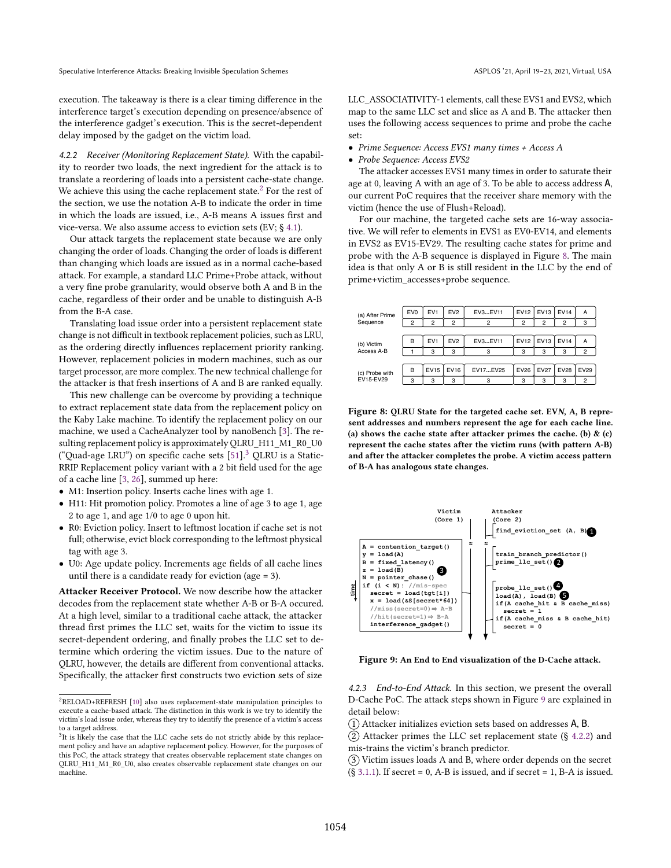execution. The takeaway is there is a clear timing difference in the interference target's execution depending on presence/absence of the interference gadget's execution. This is the secret-dependent delay imposed by the gadget on the victim load.

<span id="page-8-0"></span>4.2.2 Receiver (Monitoring Replacement State). With the capability to reorder two loads, the next ingredient for the attack is to translate a reordering of loads into a persistent cache-state change. We achieve this using the cache replacement state.<sup>[2](#page-8-1)</sup> For the rest of the section, we use the notation A-B to indicate the order in time in which the loads are issued, i.e., A-B means A issues first and vice-versa. We also assume access to eviction sets (EV; ğ [4.1\)](#page-7-4).

Our attack targets the replacement state because we are only changing the order of loads. Changing the order of loads is different than changing which loads are issued as in a normal cache-based attack. For example, a standard LLC Prime+Probe attack, without a very fine probe granularity, would observe both A and B in the cache, regardless of their order and be unable to distinguish A-B from the B-A case.

Translating load issue order into a persistent replacement state change is not difficult in textbook replacement policies, such as LRU, as the ordering directly influences replacement priority ranking. However, replacement policies in modern machines, such as our target processor, are more complex. The new technical challenge for the attacker is that fresh insertions of A and B are ranked equally.

This new challenge can be overcome by providing a technique to extract replacement state data from the replacement policy on the Kaby Lake machine. To identify the replacement policy on our machine, we used a CacheAnalyzer tool by nanoBench [\[3\]](#page-12-6). The resulting replacement policy is approximately QLRU\_H11\_M1\_R0\_U0 ("Quad-age LRU") on specific cache sets  $[51]$ .<sup>[3](#page-8-2)</sup> QLRU is a Static-RRIP Replacement policy variant with a 2 bit field used for the age of a cache line [\[3,](#page-12-6) [26\]](#page-13-30), summed up here:

- M1: Insertion policy. Inserts cache lines with age 1.
- H11: Hit promotion policy. Promotes a line of age 3 to age 1, age 2 to age 1, and age 1/0 to age 0 upon hit.
- R0: Eviction policy. Insert to leftmost location if cache set is not full; otherwise, evict block corresponding to the leftmost physical tag with age 3.
- U0: Age update policy. Increments age fields of all cache lines until there is a candidate ready for eviction (age = 3).

Attacker Receiver Protocol. We now describe how the attacker decodes from the replacement state whether A-B or B-A occured. At a high level, similar to a traditional cache attack, the attacker thread first primes the LLC set, waits for the victim to issue its secret-dependent ordering, and finally probes the LLC set to determine which ordering the victim issues. Due to the nature of QLRU, however, the details are different from conventional attacks. Specifically, the attacker first constructs two eviction sets of size

LLC\_ASSOCIATIVITY-1 elements, call these EVS1 and EVS2, which map to the same LLC set and slice as A and B. The attacker then uses the following access sequences to prime and probe the cache set:

- Prime Sequence: Access EVS1 many times + Access A
- Probe Sequence: Access EVS2

The attacker accesses EVS1 many times in order to saturate their age at 0, leaving A with an age of 3. To be able to access address A, our current PoC requires that the receiver share memory with the victim (hence the use of Flush+Reload).

For our machine, the targeted cache sets are 16-way associative. We will refer to elements in EVS1 as EV0-EV14, and elements in EVS2 as EV15-EV29. The resulting cache states for prime and probe with the A-B sequence is displayed in Figure [8.](#page-8-3) The main idea is that only A or B is still resident in the LLC by the end of prime+victim\_accesses+probe sequence.

<span id="page-8-3"></span>

| (a) After Prime             | EV <sub>0</sub> | EV <sub>1</sub> | EV <sub>2</sub> | EV3EV11        | <b>EV12</b>    | EVI3             | <b>EV14</b>    | Α           |
|-----------------------------|-----------------|-----------------|-----------------|----------------|----------------|------------------|----------------|-------------|
| Sequence                    | 2               | 2               | 2               | $\overline{c}$ | $\overline{2}$ | $\overline{2}$   | $\overline{2}$ | 3           |
|                             |                 |                 |                 |                |                |                  |                |             |
| (b) Victim<br>Access A-B    | B               | EV <sub>1</sub> | EV <sub>2</sub> | EV3EV11        | <b>EV12</b>    | EV <sub>13</sub> | <b>EV14</b>    | Α           |
|                             |                 | 3               | 3               | 3              | 3              | 3                | 3              | 2           |
|                             |                 |                 |                 |                |                |                  |                |             |
| (c) Probe with<br>EV15-EV29 | B               | <b>EV15</b>     | <b>EV16</b>     | EV17EV25       | EV26           | <b>EV27</b>      | <b>EV28</b>    | <b>EV29</b> |
|                             | 3               | 3               | 3               | 3              | 3              | 3                | 3              | 2           |

Figure 8: QLRU State for the targeted cache set. EVN, A, B represent addresses and numbers represent the age for each cache line. (a) shows the cache state after attacker primes the cache. (b)  $\&$  (c) represent the cache states after the victim runs (with pattern A-B) and after the attacker completes the probe. A victim access pattern of B-A has analogous state changes.

<span id="page-8-4"></span>

Figure 9: An End to End visualization of the D-Cache attack.

4.2.3 End-to-End Attack. In this section, we present the overall D-Cache PoC. The attack steps shown in Figure [9](#page-8-4) are explained in detail below:

 $(1)$  Attacker initializes eviction sets based on addresses A, B.

 $(2)$  Attacker primes the LLC set replacement state (§ [4.2.2\)](#page-8-0) and mis-trains the victim's branch predictor.

3 Victim issues loads A and B, where order depends on the secret  $(S\ 3.1.1)$  $(S\ 3.1.1)$ . If secret = 0, A-B is issued, and if secret = 1, B-A is issued.

<span id="page-8-1"></span> $^2\mathsf{RELOAD+REFRESH}$  [\[10\]](#page-12-7) also uses replacement-state manipulation principles to execute a cache-based attack. The distinction in this work is we try to identify the victim's load issue order, whereas they try to identify the presence of a victim's access to a target address.

<span id="page-8-2"></span><sup>&</sup>lt;sup>3</sup>It is likely the case that the LLC cache sets do not strictly abide by this replacement policy and have an adaptive replacement policy. However, for the purposes of this PoC, the attack strategy that creates observable replacement state changes on QLRU\_H11\_M1\_R0\_U0, also creates observable replacement state changes on our machine.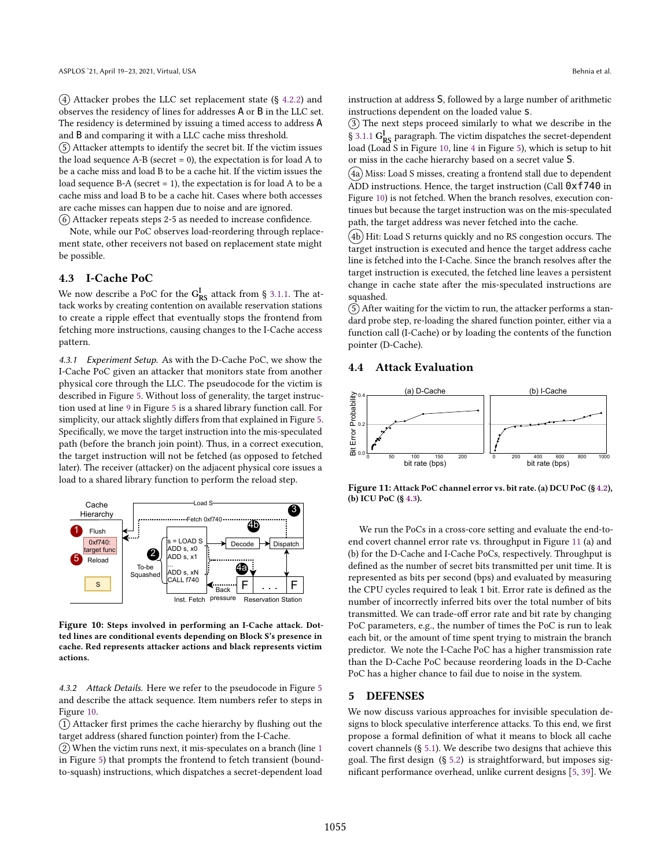$(4)$  Attacker probes the LLC set replacement state  $(§$  [4.2.2\)](#page-8-0) and observes the residency of lines for addresses A or B in the LLC set. The residency is determined by issuing a timed access to address A and B and comparing it with a LLC cache miss threshold.

5 Attacker attempts to identify the secret bit. If the victim issues the load sequence  $A-B$  (secret = 0), the expectation is for load  $A$  to be a cache miss and load B to be a cache hit. If the victim issues the load sequence B-A (secret  $= 1$ ), the expectation is for load A to be a cache miss and load B to be a cache hit. Cases where both accesses are cache misses can happen due to noise and are ignored.

6 Attacker repeats steps 2-5 as needed to increase confidence.

Note, while our PoC observes load-reordering through replacement state, other receivers not based on replacement state might be possible.

# <span id="page-9-0"></span>4.3 I-Cache PoC

We now describe a PoC for the  $G_{RS}^I$  attack from § [3.1.1.](#page-3-3) The attack works by creating contention on available reservation stations to create a ripple effect that eventually stops the frontend from fetching more instructions, causing changes to the I-Cache access pattern.

4.3.1 Experiment Setup. As with the D-Cache PoC, we show the I-Cache PoC given an attacker that monitors state from another physical core through the LLC. The pseudocode for the victim is described in Figure [5.](#page-5-1) Without loss of generality, the target instruction used at line [9](#page-5-3) in Figure [5](#page-5-1) is a shared library function call. For simplicity, our attack slightly differs from that explained in Figure [5.](#page-5-1) Specifically, we move the target instruction into the mis-speculated path (before the branch join point). Thus, in a correct execution, the target instruction will not be fetched (as opposed to fetched later). The receiver (attacker) on the adjacent physical core issues a load to a shared library function to perform the reload step.

<span id="page-9-1"></span>

Figure 10: Steps involved in performing an I-Cache attack. Dotted lines are conditional events depending on Block S's presence in cache. Red represents attacker actions and black represents victim actions.

4.3.2 Attack Details. Here we refer to the pseudocode in Figure [5](#page-5-1) and describe the attack sequence. Item numbers refer to steps in Figure [10.](#page-9-1)

 $(1)$  Attacker first primes the cache hierarchy by flushing out the target address (shared function pointer) from the I-Cache.

2 When the victim runs next, it mis-speculates on a branch (line [1](#page-5-4) in Figure [5\)](#page-5-1) that prompts the frontend to fetch transient (boundto-squash) instructions, which dispatches a secret-dependent load

instruction at address S, followed by a large number of arithmetic instructions dependent on the loaded value s.

3 The next steps proceed similarly to what we describe in the  $\S$  [3.1.1](#page-3-3)  $G_{RS}^I$  paragraph. The victim dispatches the secret-dependent load (Load S in Figure [10,](#page-9-1) line [4](#page-5-5) in Figure [5\)](#page-5-1), which is setup to hit or miss in the cache hierarchy based on a secret value S.

 $(4a)$  Miss: Load S misses, creating a frontend stall due to dependent ADD instructions. Hence, the target instruction (Call 0xf740 in Figure [10\)](#page-9-1) is not fetched. When the branch resolves, execution continues but because the target instruction was on the mis-speculated path, the target address was never fetched into the cache.

 $(4b)$  Hit: Load S returns quickly and no RS congestion occurs. The target instruction is executed and hence the target address cache line is fetched into the I-Cache. Since the branch resolves after the target instruction is executed, the fetched line leaves a persistent change in cache state after the mis-speculated instructions are squashed.

5 After waiting for the victim to run, the attacker performs a standard probe step, re-loading the shared function pointer, either via a function call (I-Cache) or by loading the contents of the function pointer (D-Cache).

## 4.4 Attack Evaluation

<span id="page-9-2"></span>

Figure 11: Attack PoC channel error vs. bit rate. (a) DCU PoC (ğ [4.2\)](#page-7-1), (b) ICU PoC (ğ [4.3\)](#page-9-0).

We run the PoCs in a cross-core setting and evaluate the end-toend covert channel error rate vs. throughput in Figure [11](#page-9-2) (a) and (b) for the D-Cache and I-Cache PoCs, respectively. Throughput is defined as the number of secret bits transmitted per unit time. It is represented as bits per second (bps) and evaluated by measuring the CPU cycles required to leak 1 bit. Error rate is defined as the number of incorrectly inferred bits over the total number of bits transmitted. We can trade-off error rate and bit rate by changing PoC parameters, e.g., the number of times the PoC is run to leak each bit, or the amount of time spent trying to mistrain the branch predictor. We note the I-Cache PoC has a higher transmission rate than the D-Cache PoC because reordering loads in the D-Cache PoC has a higher chance to fail due to noise in the system.

#### 5 DEFENSES

We now discuss various approaches for invisible speculation designs to block speculative interference attacks. To this end, we first propose a formal definition of what it means to block all cache covert channels (ğ [5.1\)](#page-10-0). We describe two designs that achieve this goal. The first design (ğ [5.2\)](#page-10-1) is straightforward, but imposes significant performance overhead, unlike current designs [\[5,](#page-12-3) [39\]](#page-13-14). We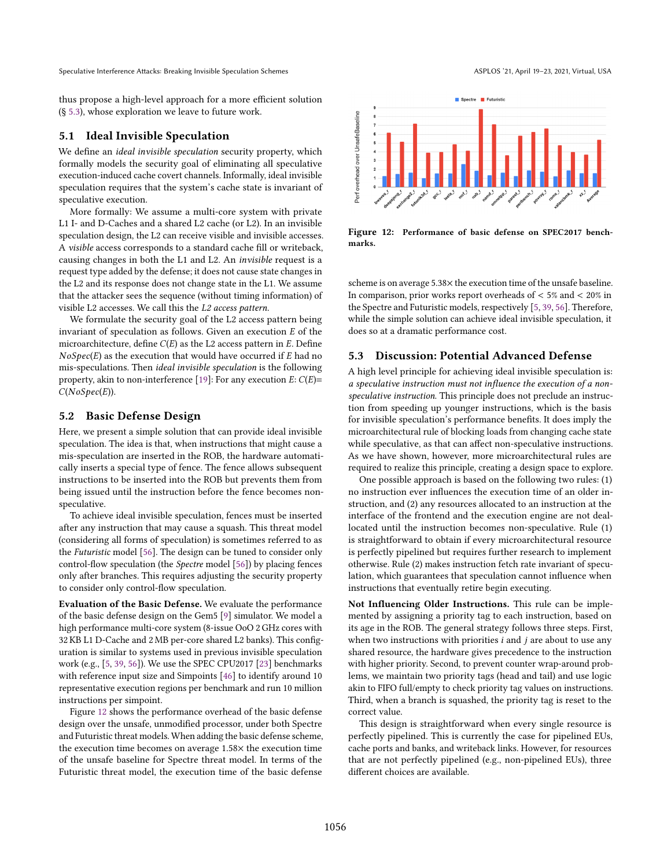thus propose a high-level approach for a more efficient solution (ğ [5.3\)](#page-10-2), whose exploration we leave to future work.

# <span id="page-10-0"></span>5.1 Ideal Invisible Speculation

We define an ideal invisible speculation security property, which formally models the security goal of eliminating all speculative execution-induced cache covert channels. Informally, ideal invisible speculation requires that the system's cache state is invariant of speculative execution.

More formally: We assume a multi-core system with private L1 I- and D-Caches and a shared L2 cache (or L2). In an invisible speculation design, the L2 can receive visible and invisible accesses. A visible access corresponds to a standard cache fill or writeback, causing changes in both the L1 and L2. An invisible request is a request type added by the defense; it does not cause state changes in the L2 and its response does not change state in the L1. We assume that the attacker sees the sequence (without timing information) of visible L2 accesses. We call this the L2 access pattern.

We formulate the security goal of the L2 access pattern being invariant of speculation as follows. Given an execution  $E$  of the microarchitecture, define  $C(E)$  as the L2 access pattern in  $E$ . Define  $NoSpec(E)$  as the execution that would have occurred if  $E$  had no mis-speculations. Then ideal invisible speculation is the following property, akin to non-interference [\[19\]](#page-13-31): For any execution  $E: C(E)$ =  $C(NoSpec(E)).$ 

## <span id="page-10-1"></span>5.2 Basic Defense Design

Here, we present a simple solution that can provide ideal invisible speculation. The idea is that, when instructions that might cause a mis-speculation are inserted in the ROB, the hardware automatically inserts a special type of fence. The fence allows subsequent instructions to be inserted into the ROB but prevents them from being issued until the instruction before the fence becomes nonspeculative.

To achieve ideal invisible speculation, fences must be inserted after any instruction that may cause a squash. This threat model (considering all forms of speculation) is sometimes referred to as the Futuristic model [\[56\]](#page-13-7). The design can be tuned to consider only control-flow speculation (the Spectre model [\[56\]](#page-13-7)) by placing fences only after branches. This requires adjusting the security property to consider only control-flow speculation.

Evaluation of the Basic Defense. We evaluate the performance of the basic defense design on the Gem5 [\[9\]](#page-12-8) simulator. We model a high performance multi-core system (8-issue OoO 2 GHz cores with 32 KB L1 D-Cache and 2 MB per-core shared L2 banks). This configuration is similar to systems used in previous invisible speculation work (e.g., [\[5,](#page-12-3) [39,](#page-13-14) [56\]](#page-13-7)). We use the SPEC CPU2017 [\[23\]](#page-13-32) benchmarks with reference input size and Simpoints [\[46\]](#page-13-33) to identify around 10 representative execution regions per benchmark and run 10 million instructions per simpoint.

Figure [12](#page-10-3) shows the performance overhead of the basic defense design over the unsafe, unmodified processor, under both Spectre and Futuristic threat models. When adding the basic defense scheme, the execution time becomes on average 1.58× the execution time of the unsafe baseline for Spectre threat model. In terms of the Futuristic threat model, the execution time of the basic defense

<span id="page-10-3"></span>

Figure 12: Performance of basic defense on SPEC2017 benchmarks.

scheme is on average 5.38× the execution time of the unsafe baseline. In comparison, prior works report overheads of  $< 5\%$  and  $< 20\%$  in the Spectre and Futuristic models, respectively [\[5,](#page-12-3) [39,](#page-13-14) [56\]](#page-13-7). Therefore, while the simple solution can achieve ideal invisible speculation, it does so at a dramatic performance cost.

# <span id="page-10-2"></span>5.3 Discussion: Potential Advanced Defense

A high level principle for achieving ideal invisible speculation is: a speculative instruction must not influence the execution of a nonspeculative instruction. This principle does not preclude an instruction from speeding up younger instructions, which is the basis for invisible speculation's performance benefits. It does imply the microarchitectural rule of blocking loads from changing cache state while speculative, as that can affect non-speculative instructions. As we have shown, however, more microarchitectural rules are required to realize this principle, creating a design space to explore.

One possible approach is based on the following two rules: (1) no instruction ever influences the execution time of an older instruction, and (2) any resources allocated to an instruction at the interface of the frontend and the execution engine are not deallocated until the instruction becomes non-speculative. Rule (1) is straightforward to obtain if every microarchitectural resource is perfectly pipelined but requires further research to implement otherwise. Rule (2) makes instruction fetch rate invariant of speculation, which guarantees that speculation cannot influence when instructions that eventually retire begin executing.

Not Influencing Older Instructions. This rule can be implemented by assigning a priority tag to each instruction, based on its age in the ROB. The general strategy follows three steps. First, when two instructions with priorities  $i$  and  $j$  are about to use any shared resource, the hardware gives precedence to the instruction with higher priority. Second, to prevent counter wrap-around problems, we maintain two priority tags (head and tail) and use logic akin to FIFO full/empty to check priority tag values on instructions. Third, when a branch is squashed, the priority tag is reset to the correct value.

This design is straightforward when every single resource is perfectly pipelined. This is currently the case for pipelined EUs, cache ports and banks, and writeback links. However, for resources that are not perfectly pipelined (e.g., non-pipelined EUs), three different choices are available.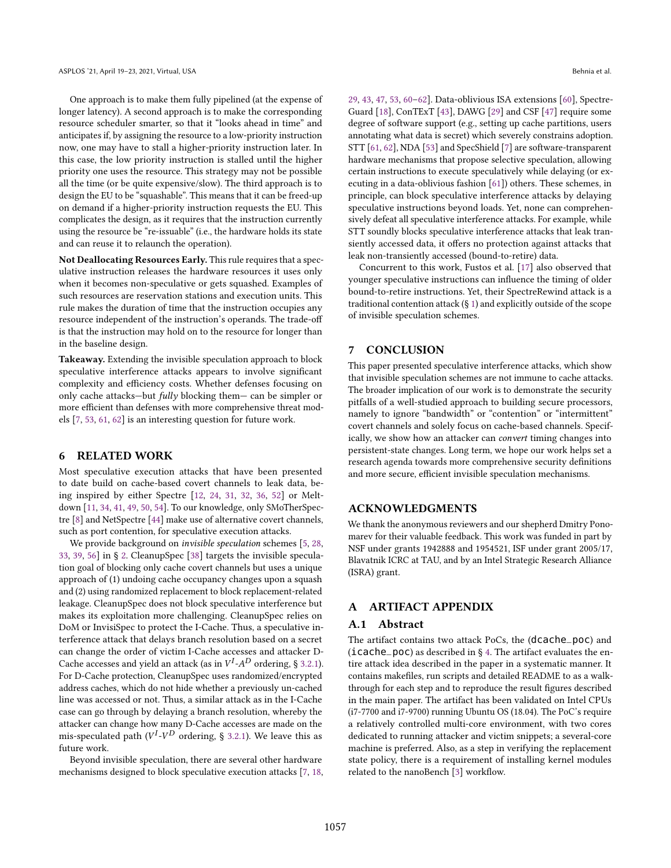One approach is to make them fully pipelined (at the expense of longer latency). A second approach is to make the corresponding resource scheduler smarter, so that it "looks ahead in time" and anticipates if, by assigning the resource to a low-priority instruction now, one may have to stall a higher-priority instruction later. In this case, the low priority instruction is stalled until the higher priority one uses the resource. This strategy may not be possible all the time (or be quite expensive/slow). The third approach is to design the EU to be "squashable". This means that it can be freed-up on demand if a higher-priority instruction requests the EU. This complicates the design, as it requires that the instruction currently using the resource be "re-issuable" (i.e., the hardware holds its state and can reuse it to relaunch the operation).

Not Deallocating Resources Early. This rule requires that a speculative instruction releases the hardware resources it uses only when it becomes non-speculative or gets squashed. Examples of such resources are reservation stations and execution units. This rule makes the duration of time that the instruction occupies any resource independent of the instruction's operands. The trade-off is that the instruction may hold on to the resource for longer than in the baseline design.

Takeaway. Extending the invisible speculation approach to block speculative interference attacks appears to involve significant complexity and efficiency costs. Whether defenses focusing on only cache attacks-but fully blocking them- can be simpler or more efficient than defenses with more comprehensive threat models [\[7,](#page-12-9) [53,](#page-13-34) [61,](#page-14-4) [62\]](#page-14-3) is an interesting question for future work.

# 6 RELATED WORK

Most speculative execution attacks that have been presented to date build on cache-based covert channels to leak data, being inspired by either Spectre [\[12,](#page-13-1) [24,](#page-13-2) [31,](#page-13-0) [32,](#page-13-4) [36,](#page-13-5) [52\]](#page-13-35) or Meltdown [\[11,](#page-13-36) [34,](#page-13-25) [41,](#page-13-37) [49,](#page-13-38) [50,](#page-13-39) [54\]](#page-13-40). To our knowledge, only SMoTherSpectre [\[8\]](#page-12-0) and NetSpectre [\[44\]](#page-13-6) make use of alternative covert channels, such as port contention, for speculative execution attacks.

We provide background on invisible speculation schemes [\[5,](#page-12-3) [28,](#page-13-13) [33,](#page-13-15) [39,](#page-13-14) [56\]](#page-13-7) in ğ [2.](#page-2-2) CleanupSpec [\[38\]](#page-13-41) targets the invisible speculation goal of blocking only cache covert channels but uses a unique approach of (1) undoing cache occupancy changes upon a squash and (2) using randomized replacement to block replacement-related leakage. CleanupSpec does not block speculative interference but makes its exploitation more challenging. CleanupSpec relies on DoM or InvisiSpec to protect the I-Cache. Thus, a speculative interference attack that delays branch resolution based on a secret can change the order of victim I-Cache accesses and attacker D-Cache accesses and yield an attack (as in  $V^I$ - $A^D$  ordering, § [3.2.1\)](#page-6-2). For D-Cache protection, CleanupSpec uses randomized/encrypted address caches, which do not hide whether a previously un-cached line was accessed or not. Thus, a similar attack as in the I-Cache case can go through by delaying a branch resolution, whereby the attacker can change how many D-Cache accesses are made on the mis-speculated path ( $V^I$ - $V^D$  ordering, § [3.2.1\)](#page-6-2). We leave this as future work.

Beyond invisible speculation, there are several other hardware mechanisms designed to block speculative execution attacks [\[7,](#page-12-9) [18,](#page-13-42) [29,](#page-13-16) [43,](#page-13-43) [47,](#page-13-44) [53,](#page-13-34) [60](#page-14-5)-62]. Data-oblivious ISA extensions [\[60\]](#page-14-5), Spectre-Guard [\[18\]](#page-13-42), ConTExT [\[43\]](#page-13-43), DAWG [\[29\]](#page-13-16) and CSF [\[47\]](#page-13-44) require some degree of software support (e.g., setting up cache partitions, users annotating what data is secret) which severely constrains adoption. STT [\[61,](#page-14-4) [62\]](#page-14-3), NDA [\[53\]](#page-13-34) and SpecShield [\[7\]](#page-12-9) are software-transparent hardware mechanisms that propose selective speculation, allowing certain instructions to execute speculatively while delaying (or executing in a data-oblivious fashion [\[61\]](#page-14-4)) others. These schemes, in principle, can block speculative interference attacks by delaying speculative instructions beyond loads. Yet, none can comprehensively defeat all speculative interference attacks. For example, while STT soundly blocks speculative interference attacks that leak transiently accessed data, it offers no protection against attacks that leak non-transiently accessed (bound-to-retire) data.

Concurrent to this work, Fustos et al. [\[17\]](#page-13-45) also observed that younger speculative instructions can influence the timing of older bound-to-retire instructions. Yet, their SpectreRewind attack is a traditional contention attack (ğ [1\)](#page-0-0) and explicitly outside of the scope of invisible speculation schemes.

# 7 CONCLUSION

This paper presented speculative interference attacks, which show that invisible speculation schemes are not immune to cache attacks. The broader implication of our work is to demonstrate the security pitfalls of a well-studied approach to building secure processors, namely to ignore "bandwidth" or "contention" or "intermittent" covert channels and solely focus on cache-based channels. Specifically, we show how an attacker can convert timing changes into persistent-state changes. Long term, we hope our work helps set a research agenda towards more comprehensive security definitions and more secure, efficient invisible speculation mechanisms.

### ACKNOWLEDGMENTS

We thank the anonymous reviewers and our shepherd Dmitry Ponomarev for their valuable feedback. This work was funded in part by NSF under grants 1942888 and 1954521, ISF under grant 2005/17, Blavatnik ICRC at TAU, and by an Intel Strategic Research Alliance (ISRA) grant.

# A ARTIFACT APPENDIX

#### A.1 Abstract

The artifact contains two attack PoCs, the (dcache\_poc) and (icache\_poc) as described in ğ [4.](#page-7-0) The artifact evaluates the entire attack idea described in the paper in a systematic manner. It contains makefiles, run scripts and detailed README to as a walkthrough for each step and to reproduce the result figures described in the main paper. The artifact has been validated on Intel CPUs (i7-7700 and i7-9700) running Ubuntu OS (18.04). The PoC's require a relatively controlled multi-core environment, with two cores dedicated to running attacker and victim snippets; a several-core machine is preferred. Also, as a step in verifying the replacement state policy, there is a requirement of installing kernel modules related to the nanoBench [\[3\]](#page-12-6) workflow.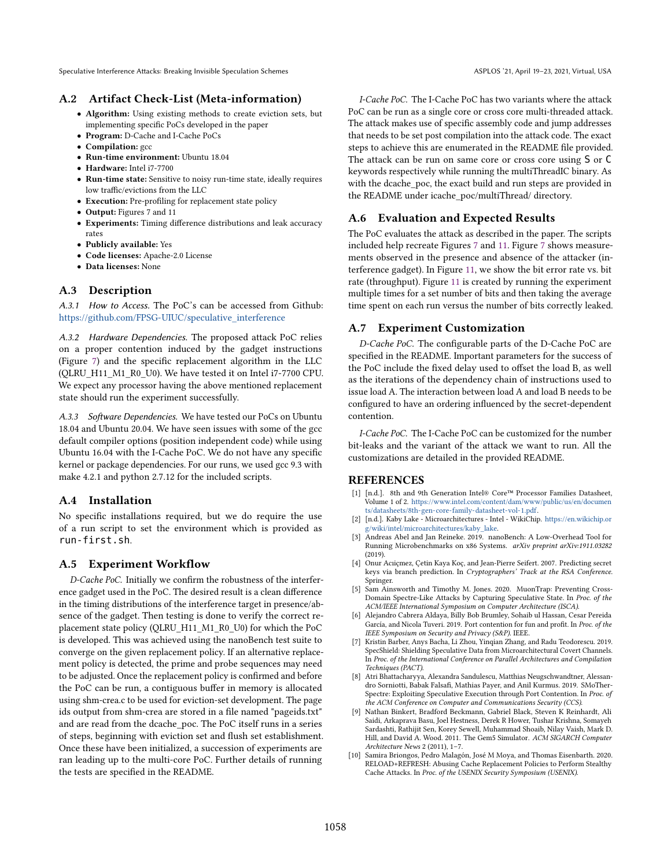# A.2 Artifact Check-List (Meta-information)

- Algorithm: Using existing methods to create eviction sets, but implementing specific PoCs developed in the paper
- Program: D-Cache and I-Cache PoCs
- Compilation: gcc
- Run-time environment: Ubuntu 18.04
- Hardware: Intel i7-7700
- Run-time state: Sensitive to noisy run-time state, ideally requires low traffic/evictions from the LLC
- Execution: Pre-profiling for replacement state policy
- Output: Figures 7 and 11
- Experiments: Timing difference distributions and leak accuracy rates
- Publicly available: Yes
- Code licenses: Apache-2.0 License
- Data licenses: None

# A.3 Description

A.3.1 How to Access. The PoC's can be accessed from Github: [https://github.com/FPSG-UIUC/speculative\\_interference](https://github.com/FPSG-UIUC/speculative_interference)

A.3.2 Hardware Dependencies. The proposed attack PoC relies on a proper contention induced by the gadget instructions (Figure [7\)](#page-7-3) and the specific replacement algorithm in the LLC (QLRU\_H11\_M1\_R0\_U0). We have tested it on Intel i7-7700 CPU. We expect any processor having the above mentioned replacement state should run the experiment successfully.

A.3.3 Software Dependencies. We have tested our PoCs on Ubuntu 18.04 and Ubuntu 20.04. We have seen issues with some of the gcc default compiler options (position independent code) while using Ubuntu 16.04 with the I-Cache PoC. We do not have any specific kernel or package dependencies. For our runs, we used gcc 9.3 with make 4.2.1 and python 2.7.12 for the included scripts.

# A.4 Installation

No specific installations required, but we do require the use of a run script to set the environment which is provided as run-first.sh.

# A.5 Experiment Workflow

D-Cache PoC. Initially we confirm the robustness of the interference gadget used in the PoC. The desired result is a clean difference in the timing distributions of the interference target in presence/absence of the gadget. Then testing is done to verify the correct replacement state policy (QLRU\_H11\_M1\_R0\_U0) for which the PoC is developed. This was achieved using the nanoBench test suite to converge on the given replacement policy. If an alternative replacement policy is detected, the prime and probe sequences may need to be adjusted. Once the replacement policy is confirmed and before the PoC can be run, a contiguous buffer in memory is allocated using shm-crea.c to be used for eviction-set development. The page ids output from shm-crea are stored in a file named "pageids.txt" and are read from the dcache\_poc. The PoC itself runs in a series of steps, beginning with eviction set and flush set establishment. Once these have been initialized, a succession of experiments are ran leading up to the multi-core PoC. Further details of running the tests are specified in the README.

I-Cache PoC. The I-Cache PoC has two variants where the attack PoC can be run as a single core or cross core multi-threaded attack. The attack makes use of specific assembly code and jump addresses that needs to be set post compilation into the attack code. The exact steps to achieve this are enumerated in the README file provided. The attack can be run on same core or cross core using S or C keywords respectively while running the multiThreadIC binary. As with the dcache\_poc, the exact build and run steps are provided in the README under icache\_poc/multiThread/ directory.

# A.6 Evaluation and Expected Results

The PoC evaluates the attack as described in the paper. The scripts included help recreate Figures [7](#page-7-3) and [11.](#page-9-2) Figure [7](#page-7-3) shows measurements observed in the presence and absence of the attacker (interference gadget). In Figure [11,](#page-9-2) we show the bit error rate vs. bit rate (throughput). Figure [11](#page-9-2) is created by running the experiment multiple times for a set number of bits and then taking the average time spent on each run versus the number of bits correctly leaked.

# A.7 Experiment Customization

D-Cache PoC. The configurable parts of the D-Cache PoC are specified in the README. Important parameters for the success of the PoC include the fixed delay used to offset the load B, as well as the iterations of the dependency chain of instructions used to issue load A. The interaction between load A and load B needs to be configured to have an ordering influenced by the secret-dependent contention.

I-Cache PoC. The I-Cache PoC can be customized for the number bit-leaks and the variant of the attack we want to run. All the customizations are detailed in the provided README.

# REFERENCES

- <span id="page-12-4"></span>[1] [n.d.]. 8th and 9th Generation Intel® Core™ Processor Families Datasheet, Volume 1 of 2. [https://www.intel.com/content/dam/www/public/us/en/documen](https://www.intel.com/content/dam/www/public/us/en/documents/datasheets/8th-gen-core-family-datasheet-vol-1.pdf) [ts/datasheets/8th-gen-core-family-datasheet-vol-1.pdf.](https://www.intel.com/content/dam/www/public/us/en/documents/datasheets/8th-gen-core-family-datasheet-vol-1.pdf)
- <span id="page-12-5"></span>[2] [n.d.]. Kaby Lake - Microarchitectures - Intel - WikiChip. [https://en.wikichip.or](https://en.wikichip.org/wiki/intel/microarchitectures/kaby_lake) [g/wiki/intel/microarchitectures/kaby\\_lake.](https://en.wikichip.org/wiki/intel/microarchitectures/kaby_lake)
- <span id="page-12-6"></span>[3] Andreas Abel and Jan Reineke. 2019. nanoBench: A Low-Overhead Tool for Running Microbenchmarks on x86 Systems. arXiv preprint arXiv:1911.03282  $(2019)$
- <span id="page-12-2"></span>[4] Onur Acıiçmez, Çetin Kaya Koç, and Jean-Pierre Seifert. 2007. Predicting secret keys via branch prediction. In Cryptographers' Track at the RSA Conference. Springer.
- <span id="page-12-3"></span>[5] Sam Ainsworth and Timothy M. Jones. 2020. MuonTrap: Preventing Cross-Domain Spectre-Like Attacks by Capturing Speculative State. In Proc. of the ACM/IEEE International Symposium on Computer Architecture (ISCA).
- <span id="page-12-1"></span>[6] Alejandro Cabrera Aldaya, Billy Bob Brumley, Sohaib ul Hassan, Cesar Pereida García, and Nicola Tuveri. 2019. Port contention for fun and profit. In Proc. of the IEEE Symposium on Security and Privacy (S&P). IEEE.
- <span id="page-12-9"></span>[7] Kristin Barber, Anys Bacha, Li Zhou, Yinqian Zhang, and Radu Teodorescu. 2019. SpecShield: Shielding Speculative Data from Microarchitectural Covert Channels. In Proc. of the International Conference on Parallel Architectures and Compilation Techniques (PACT).
- <span id="page-12-0"></span>[8] Atri Bhattacharyya, Alexandra Sandulescu, Matthias Neugschwandtner, Alessandro Sorniotti, Babak Falsafi, Mathias Payer, and Anil Kurmus. 2019. SMoTher-Spectre: Exploiting Speculative Execution through Port Contention. In Proc. of the ACM Conference on Computer and Communications Security (CCS).
- <span id="page-12-8"></span>[9] Nathan Binkert, Bradford Beckmann, Gabriel Black, Steven K Reinhardt, Ali Saidi, Arkaprava Basu, Joel Hestness, Derek R Hower, Tushar Krishna, Somayeh Sardashti, Rathijit Sen, Korey Sewell, Muhammad Shoaib, Nilay Vaish, Mark D. Hill, and David A. Wood. 2011. The Gem5 Simulator. ACM SIGARCH Computer Architecture News 2 (2011), 1-7.
- <span id="page-12-7"></span>[10] Samira Briongos, Pedro Malagón, José M Moya, and Thomas Eisenbarth. 2020. RELOAD+REFRESH: Abusing Cache Replacement Policies to Perform Stealthy Cache Attacks. In Proc. of the USENIX Security Symposium (USENIX).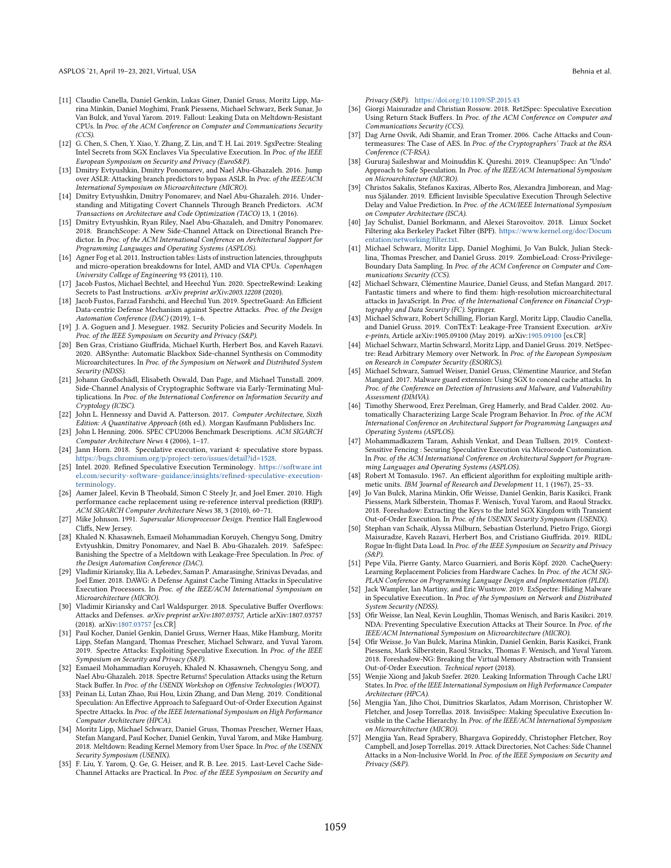- <span id="page-13-36"></span>[11] Claudio Canella, Daniel Genkin, Lukas Giner, Daniel Gruss, Moritz Lipp, Marina Minkin, Daniel Moghimi, Frank Piessens, Michael Schwarz, Berk Sunar, Jo Van Bulck, and Yuval Yarom. 2019. Fallout: Leaking Data on Meltdown-Resistant CPUs. In Proc. of the ACM Conference on Computer and Communications Security (CCS).
- <span id="page-13-1"></span>[12] G. Chen, S. Chen, Y. Xiao, Y. Zhang, Z. Lin, and T. H. Lai. 2019. SgxPectre: Stealing Intel Secrets from SGX Enclaves Via Speculative Execution. In Proc. of the IEEE European Symposium on Security and Privacy (EuroS&P).
- <span id="page-13-11"></span>[13] Dmitry Evtyushkin, Dmitry Ponomarev, and Nael Abu-Ghazaleh. 2016. Jump over ASLR: Attacking branch predictors to bypass ASLR. In Proc. of the IEEE/ACM International Symposium on Microarchitecture (MICRO).
- [14] Dmitry Evtyushkin, Dmitry Ponomarev, and Nael Abu-Ghazaleh. 2016. Understanding and Mitigating Covert Channels Through Branch Predictors. ACM Transactions on Architecture and Code Optimization (TACO) 13, 1 (2016).
- <span id="page-13-12"></span>[15] Dmitry Evtyushkin, Ryan Riley, Nael Abu-Ghazaleh, and Dmitry Ponomarev. 2018. BranchScope: A New Side-Channel Attack on Directional Branch Predictor. In Proc. of the ACM International Conference on Architectural Support for Programming Languages and Operating Systems (ASPLOS).
- <span id="page-13-28"></span>[16] Agner Fog et al. 2011. Instruction tables: Lists of instruction latencies, throughputs and micro-operation breakdowns for Intel, AMD and VIA CPUs. Copenhagen University College of Engineering 93 (2011), 110.
- <span id="page-13-45"></span>[17] Jacob Fustos, Michael Bechtel, and Heechul Yun. 2020. SpectreRewind: Leaking Secrets to Past Instructions. arXiv preprint arXiv:2003.12208 (2020).
- <span id="page-13-42"></span>[18] Jacob Fustos, Farzad Farshchi, and Heechul Yun. 2019. SpectreGuard: An Efficient Data-centric Defense Mechanism against Spectre Attacks. Proc. of the Design Automation Conference (DAC) (2019), 1-6.
- <span id="page-13-31"></span>[19] J. A. Goguen and J. Meseguer. 1982. Security Policies and Security Models. In Proc. of the IEEE Symposium on Security and Privacy (S&P).
- <span id="page-13-21"></span>[20] Ben Gras, Cristiano Giuffrida, Michael Kurth, Herbert Bos, and Kaveh Razavi. 2020. ABSynthe: Automatic Blackbox Side-channel Synthesis on Commodity Microarchitectures. In Proc. of the Symposium on Network and Distributed System Security (NDSS).
- <span id="page-13-20"></span>[21] Johann Großschädl, Elisabeth Oswald, Dan Page, and Michael Tunstall. 2009. Side-Channel Analysis of Cryptographic Software via Early-Terminating Multiplications. In Proc. of the International Conference on Information Security and Cryptology (ICISC).
- <span id="page-13-17"></span>[22] John L. Hennessy and David A. Patterson. 2017. Computer Architecture, Sixth Edition: A Quantitative Approach (6th ed.). Morgan Kaufmann Publishers Inc.
- <span id="page-13-32"></span>[23] John L Henning. 2006. SPEC CPU2006 Benchmark Descriptions. ACM SIGARCH Computer Architecture News 4 (2006), 1-17.
- <span id="page-13-2"></span>[24] Jann Horn. 2018. Speculative execution, variant 4: speculative store bypass. [https://bugs.chromium.org/p/project-zero/issues/detail?id=1528.](https://bugs.chromium.org/p/project-zero/issues/ detail?id=1528)
- <span id="page-13-23"></span>[25] Intel. 2020. Refined Speculative Execution Terminology. [https://software.int](https://software.intel.com/security-software-guidance/insights/refined-speculative-execution-terminology) [el.com/security-software-guidance/insights/refined-speculative-execution](https://software.intel.com/security-software-guidance/insights/refined-speculative-execution-terminology)[terminology.](https://software.intel.com/security-software-guidance/insights/refined-speculative-execution-terminology)
- <span id="page-13-30"></span>[26] Aamer Jaleel, Kevin B Theobald, Simon C Steely Jr, and Joel Emer. 2010. High performance cache replacement using re-reference interval prediction (RRIP). ACM SIGARCH Computer Architecture News 38, 3 (2010), 60-71.
- <span id="page-13-19"></span>[27] Mike Johnson. 1991. Superscalar Microprocessor Design. Prentice Hall Englewood Cliffs, New Jersey.
- <span id="page-13-13"></span>[28] Khaled N. Khasawneh, Esmaeil Mohammadian Koruyeh, Chengyu Song, Dmitry Evtyushkin, Dmitry Ponomarev, and Nael B. Abu-Ghazaleh. 2019. SafeSpec: Banishing the Spectre of a Meltdown with Leakage-Free Speculation. In Proc. of the Design Automation Conference (DAC).
- <span id="page-13-16"></span>[29] Vladimir Kiriansky, Ilia A. Lebedev, Saman P. Amarasinghe, Srinivas Devadas, and Joel Emer. 2018. DAWG: A Defense Against Cache Timing Attacks in Speculative Execution Processors. In Proc. of the IEEE/ACM International Symposium on Microarchitecture (MICRO).
- <span id="page-13-3"></span>[30] Vladimir Kiriansky and Carl Waldspurger. 2018. Speculative Buffer Overflows: Attacks and Defenses. arXiv preprint arXiv:1807.03757, Article arXiv:1807.03757 (2018). arXiv[:1807.03757](https://arxiv.org/abs/1807.03757) [cs.CR]
- <span id="page-13-0"></span>[31] Paul Kocher, Daniel Genkin, Daniel Gruss, Werner Haas, Mike Hamburg, Moritz Lipp, Stefan Mangard, Thomas Prescher, Michael Schwarz, and Yuval Yarom. 2019. Spectre Attacks: Exploiting Speculative Execution. In Proc. of the IEEE Symposium on Security and Privacy (S&P).
- <span id="page-13-4"></span>[32] Esmaeil Mohammadian Koruyeh, Khaled N. Khasawneh, Chengyu Song, and Nael Abu-Ghazaleh. 2018. Spectre Returns! Speculation Attacks using the Return Stack Buffer. In Proc. of the USENIX Workshop on Offensive Technologies (WOOT).
- <span id="page-13-15"></span>[33] Peinan Li, Lutan Zhao, Rui Hou, Lixin Zhang, and Dan Meng. 2019. Conditional Speculation: An Effective Approach to Safeguard Out-of-Order Execution Against Spectre Attacks. In Proc. of the IEEE International Symposium on High Performance Computer Architecture (HPCA).
- <span id="page-13-25"></span>[34] Moritz Lipp, Michael Schwarz, Daniel Gruss, Thomas Prescher, Werner Haas, Stefan Mangard, Paul Kocher, Daniel Genkin, Yuval Yarom, and Mike Hamburg. 2018. Meltdown: Reading Kernel Memory from User Space. In Proc. of the USENIX Security Symposium (USENIX).
- <span id="page-13-8"></span>[35] F. Liu, Y. Yarom, Q. Ge, G. Heiser, and R. B. Lee. 2015. Last-Level Cache Side-Channel Attacks are Practical. In Proc. of the IEEE Symposium on Security and

Privacy (S&P). <https://doi.org/10.1109/SP.2015.43>

- <span id="page-13-5"></span>[36] Giorgi Maisuradze and Christian Rossow. 2018. Ret2Spec: Speculative Execution Using Return Stack Buffers. In Proc. of the ACM Conference on Computer and Communications Security (CCS).
- <span id="page-13-9"></span>[37] Dag Arne Osvik, Adi Shamir, and Eran Tromer. 2006. Cache Attacks and Countermeasures: The Case of AES. In Proc. of the Cryptographers' Track at the RSA Conference (CT-RSA).
- <span id="page-13-41"></span>[38] Gururaj Saileshwar and Moinuddin K. Qureshi. 2019. CleanupSpec: An "Undo" Approach to Safe Speculation. In Proc. of the IEEE/ACM International Symposium on Microarchitecture (MICRO).
- <span id="page-13-14"></span>[39] Christos Sakalis, Stefanos Kaxiras, Alberto Ros, Alexandra Jimborean, and Magnus Själander. 2019. Efficient Invisible Speculative Execution Through Selective Delay and Value Prediction. In Proc. of the ACM/IEEE International Symposium on Computer Architecture (ISCA).
- <span id="page-13-24"></span>[40] Jay Schulist, Daniel Borkmann, and Alexei Starovoitov. 2018. Linux Socket Filtering aka Berkeley Packet Filter (BPF). [https://www.kernel.org/doc/Docum](https://www.kernel.org/doc/Documentation/networking/filter.txt) [entation/networking/filter.txt.](https://www.kernel.org/doc/Documentation/networking/filter.txt)
- <span id="page-13-37"></span>[41] Michael Schwarz, Moritz Lipp, Daniel Moghimi, Jo Van Bulck, Julian Stecklina, Thomas Prescher, and Daniel Gruss. 2019. ZombieLoad: Cross-Privilege-Boundary Data Sampling. In Proc. of the ACM Conference on Computer and Communications Security (CCS).
- <span id="page-13-26"></span>[42] Michael Schwarz, Clémentine Maurice, Daniel Gruss, and Stefan Mangard. 2017. Fantastic timers and where to find them: high-resolution microarchitectural attacks in JavaScript. In Proc. of the International Conference on Financial Cryptography and Data Security (FC). Springer.
- <span id="page-13-43"></span>[43] Michael Schwarz, Robert Schilling, Florian Kargl, Moritz Lipp, Claudio Canella, and Daniel Gruss. 2019. ConTExT: Leakage-Free Transient Execution. arXiv e-prints, Article arXiv:1905.09100 (May 2019). arXiv[:1905.09100](https://arxiv.org/abs/1905.09100) [cs.CR]
- <span id="page-13-6"></span>[44] Michael Schwarz, Martin Schwarzl, Moritz Lipp, and Daniel Gruss. 2019. NetSpectre: Read Arbitrary Memory over Network. In Proc. of the European Symposium on Research in Computer Security (ESORICS).
- <span id="page-13-27"></span>[45] Michael Schwarz, Samuel Weiser, Daniel Gruss, Clémentine Maurice, and Stefan Mangard. 2017. Malware guard extension: Using SGX to conceal cache attacks. In Proc. of the Conference on Detection of Intrusions and Malware, and Vulnerability Assessment (DIMVA).
- <span id="page-13-33"></span>[46] Timothy Sherwood, Erez Perelman, Greg Hamerly, and Brad Calder. 2002. Automatically Characterizing Large Scale Program Behavior. In Proc. of the ACM International Conference on Architectural Support for Programming Languages and Operating Systems (ASPLOS).
- <span id="page-13-44"></span>[47] Mohammadkazem Taram, Ashish Venkat, and Dean Tullsen. 2019. Context-Sensitive Fencing : Securing Speculative Execution via Microcode Customization. In Proc. of the ACM International Conference on Architectural Support for Programming Languages and Operating Systems (ASPLOS).
- <span id="page-13-18"></span>[48] Robert M Tomasulo. 1967. An efficient algorithm for exploiting multiple arithmetic units. IBM Journal of Research and Development 11, 1 (1967), 25-33.
- <span id="page-13-38"></span>[49] Jo Van Bulck, Marina Minkin, Ofir Weisse, Daniel Genkin, Baris Kasikci, Frank Piessens, Mark Silberstein, Thomas F. Wenisch, Yuval Yarom, and Raoul Strackx. 2018. Foreshadow: Extracting the Keys to the Intel SGX Kingdom with Transient Out-of-Order Execution. In Proc. of the USENIX Security Symposium (USENIX).
- <span id="page-13-39"></span>[50] Stephan van Schaik, Alyssa Milburn, Sebastian Österlund, Pietro Frigo, Giorgi Maisuradze, Kaveh Razavi, Herbert Bos, and Cristiano Giuffrida. 2019. RIDL: Rogue In-flight Data Load. In Proc. of the IEEE Symposium on Security and Privacy  $(S\&P)$ .
- <span id="page-13-29"></span>[51] Pepe Vila, Pierre Ganty, Marco Guarnieri, and Boris Köpf. 2020. CacheQuery: Learning Replacement Policies from Hardware Caches. In Proc. of the ACM SIG-PLAN Conference on Programming Language Design and Implementation (PLDI).
- <span id="page-13-35"></span>[52] Jack Wampler, Ian Martiny, and Eric Wustrow. 2019. ExSpectre: Hiding Malware in Speculative Execution.. In Proc. of the Symposium on Network and Distributed System Security (NDSS).
- <span id="page-13-34"></span>[53] Ofir Weisse, Ian Neal, Kevin Loughlin, Thomas Wenisch, and Baris Kasikci. 2019. NDA: Preventing Speculative Execution Attacks at Their Source. In Proc. of the IEEE/ACM International Symposium on Microarchitecture (MICRO).
- <span id="page-13-40"></span>[54] Ofir Weisse, Jo Van Bulck, Marina Minkin, Daniel Genkin, Baris Kasikci, Frank Piessens, Mark Silberstein, Raoul Strackx, Thomas F. Wenisch, and Yuval Yarom. 2018. Foreshadow-NG: Breaking the Virtual Memory Abstraction with Transient Out-of-Order Execution. Technical report (2018).
- <span id="page-13-22"></span>[55] Wenjie Xiong and Jakub Szefer. 2020. Leaking Information Through Cache LRU States. In Proc. of the IEEE International Symposium on High Performance Computer Architecture (HPCA).
- <span id="page-13-7"></span>[56] Mengjia Yan, Jiho Choi, Dimitrios Skarlatos, Adam Morrison, Christopher W. Fletcher, and Josep Torrellas. 2018. InvisiSpec: Making Speculative Execution Invisible in the Cache Hierarchy. In Proc. of the IEEE/ACM International Symposium on Microarchitecture (MICRO).
- <span id="page-13-10"></span>[57] Mengjia Yan, Read Sprabery, Bhargava Gopireddy, Christopher Fletcher, Roy Campbell, and Josep Torrellas. 2019. Attack Directories, Not Caches: Side Channel Attacks in a Non-Inclusive World. In Proc. of the IEEE Symposium on Security and Privacy (S&P).